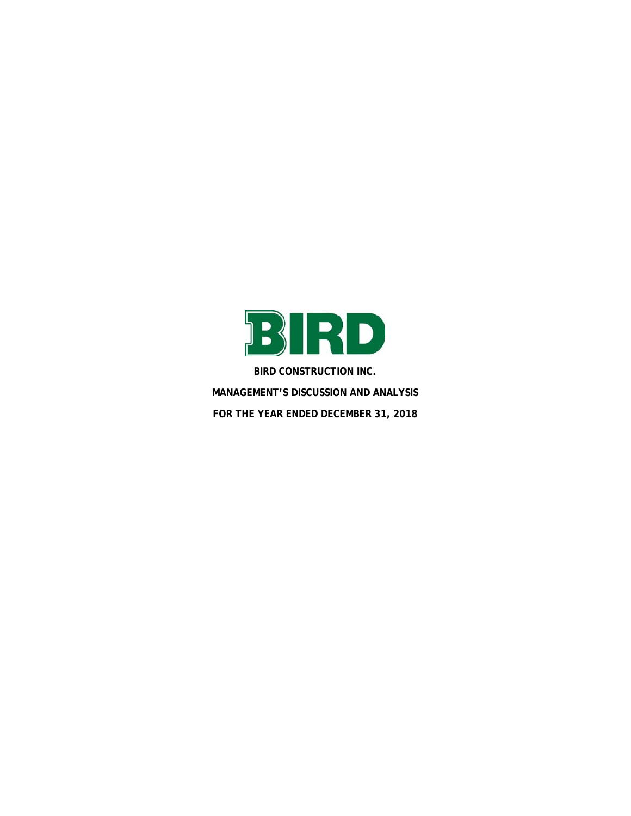

**BIRD CONSTRUCTION INC. MANAGEMENT'S DISCUSSION AND ANALYSIS FOR THE YEAR ENDED DECEMBER 31, 2018**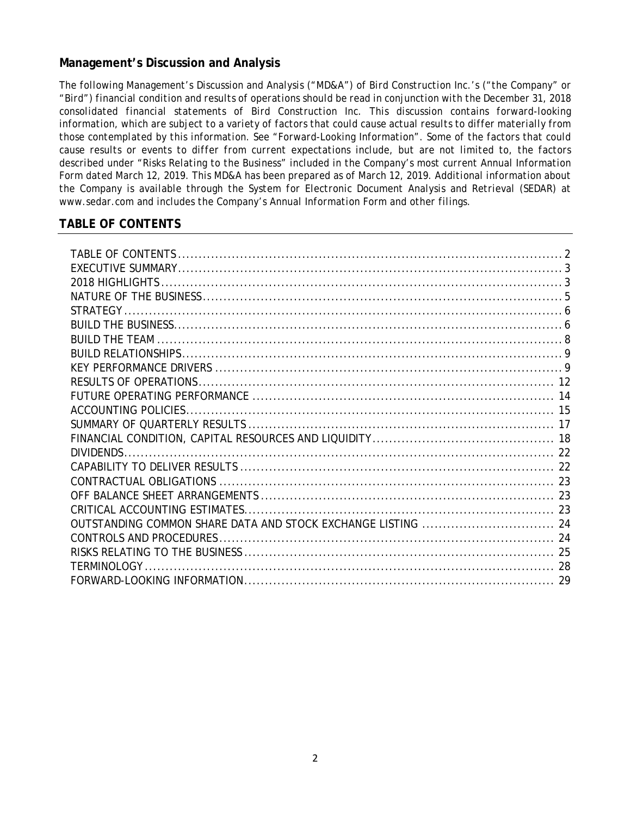# **Management's Discussion and Analysis**

*The following Management's Discussion and Analysis ("MD&A") of Bird Construction Inc.'s ("the Company" or "Bird") financial condition and results of operations should be read in conjunction with the December 31, 2018 consolidated financial statements of Bird Construction Inc. This discussion contains forward-looking information, which are subject to a variety of factors that could cause actual results to differ materially from those contemplated by this information. See "Forward-Looking Information". Some of the factors that could cause results or events to differ from current expectations include, but are not limited to, the factors described under "Risks Relating to the Business" included in the Company's most current Annual Information Form dated March 12, 2019. This MD&A has been prepared as of March 12, 2019. Additional information about the Company is available through the System for Electronic Document Analysis and Retrieval (SEDAR) at www.sedar.com and includes the Company's Annual Information Form and other filings.* 

# **TABLE OF CONTENTS**

| OUTSTANDING COMMON SHARE DATA AND STOCK EXCHANGE LISTING  24 |  |
|--------------------------------------------------------------|--|
|                                                              |  |
|                                                              |  |
|                                                              |  |
|                                                              |  |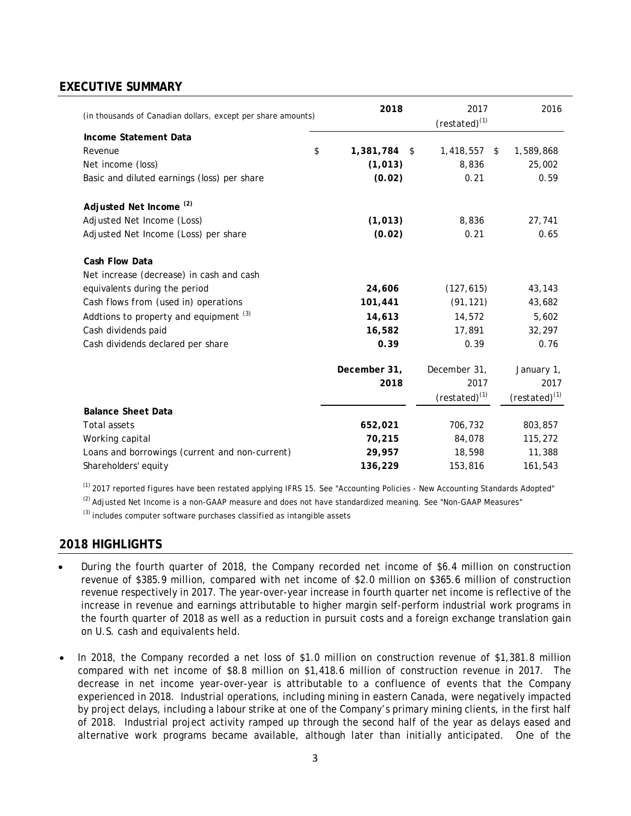# **EXECUTIVE SUMMARY**

| (in thousands of Canadian dollars, except per share amounts) |    | 2018         |    | 2017<br>(restated) <sup>(1)</sup> |    |                  |  |  |  | 2016 |
|--------------------------------------------------------------|----|--------------|----|-----------------------------------|----|------------------|--|--|--|------|
| Income Statement Data                                        |    |              |    |                                   |    |                  |  |  |  |      |
| Revenue                                                      | \$ | 1,381,784    | \$ | 1,418,557                         | \$ | 1,589,868        |  |  |  |      |
| Net income (loss)                                            |    | (1, 013)     |    | 8,836                             |    | 25,002           |  |  |  |      |
| Basic and diluted earnings (loss) per share                  |    | (0.02)       |    | 0.21                              |    | 0.59             |  |  |  |      |
| Adjusted Net Income <sup>(2)</sup>                           |    |              |    |                                   |    |                  |  |  |  |      |
| Adjusted Net Income (Loss)                                   |    | (1, 013)     |    | 8,836                             |    | 27,741           |  |  |  |      |
| Adjusted Net Income (Loss) per share                         |    | (0.02)       |    | 0.21                              |    | 0.65             |  |  |  |      |
| Cash Flow Data                                               |    |              |    |                                   |    |                  |  |  |  |      |
| Net increase (decrease) in cash and cash                     |    |              |    |                                   |    |                  |  |  |  |      |
| equivalents during the period                                |    | 24,606       |    | (127, 615)                        |    | 43,143           |  |  |  |      |
| Cash flows from (used in) operations                         |    | 101,441      |    | (91, 121)                         |    | 43,682           |  |  |  |      |
| Addtions to property and equipment (3)                       |    | 14,613       |    | 14,572                            |    | 5,602            |  |  |  |      |
| Cash dividends paid                                          |    | 16,582       |    | 17,891                            |    | 32,297           |  |  |  |      |
| Cash dividends declared per share                            |    | 0.39         |    | 0.39                              |    | 0.76             |  |  |  |      |
|                                                              |    | December 31, |    | December 31,                      |    | January 1,       |  |  |  |      |
|                                                              |    | 2018         |    | 2017                              |    | 2017             |  |  |  |      |
|                                                              |    |              |    | $(restated)^{(1)}$                |    | $(rested)^{(1)}$ |  |  |  |      |
| <b>Balance Sheet Data</b>                                    |    |              |    |                                   |    |                  |  |  |  |      |
| <b>Total assets</b>                                          |    | 652,021      |    | 706,732                           |    | 803,857          |  |  |  |      |
| Working capital                                              |    | 70,215       |    | 84,078                            |    | 115,272          |  |  |  |      |
| Loans and borrowings (current and non-current)               |    | 29,957       |    | 18,598                            |    | 11,388           |  |  |  |      |
| Shareholders' equity                                         |    | 136,229      |    | 153,816                           |    | 161,543          |  |  |  |      |

(1) 2017 reported figures have been restated applying IFRS 15. See "Accounting Policies - New Accounting Standards Adopted"

 $(2)$  Adjusted Net Income is a non-GAAP measure and does not have standardized meaning. See "Non-GAAP Measures"

 $^{(3)}$  includes computer software purchases classified as intangible assets

# **2018 HIGHLIGHTS**

- During the fourth quarter of 2018, the Company recorded net income of \$6.4 million on construction revenue of \$385.9 million, compared with net income of \$2.0 million on \$365.6 million of construction revenue respectively in 2017. The year-over-year increase in fourth quarter net income is reflective of the increase in revenue and earnings attributable to higher margin self-perform industrial work programs in the fourth quarter of 2018 as well as a reduction in pursuit costs and a foreign exchange translation gain on U.S. cash and equivalents held.
- In 2018, the Company recorded a net loss of \$1.0 million on construction revenue of \$1,381.8 million compared with net income of \$8.8 million on \$1,418.6 million of construction revenue in 2017. The decrease in net income year-over-year is attributable to a confluence of events that the Company experienced in 2018. Industrial operations, including mining in eastern Canada, were negatively impacted by project delays, including a labour strike at one of the Company's primary mining clients, in the first half of 2018. Industrial project activity ramped up through the second half of the year as delays eased and alternative work programs became available, although later than initially anticipated. One of the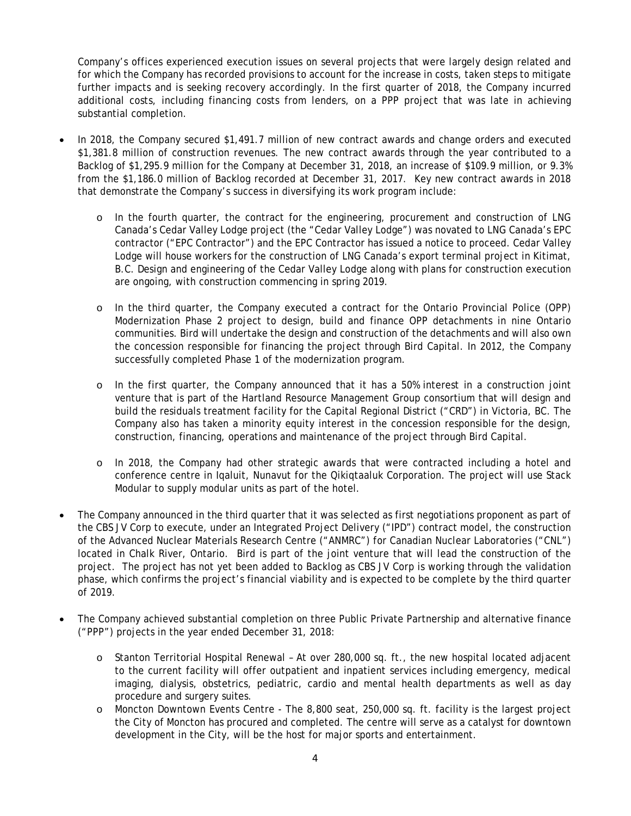Company's offices experienced execution issues on several projects that were largely design related and for which the Company has recorded provisions to account for the increase in costs, taken steps to mitigate further impacts and is seeking recovery accordingly. In the first quarter of 2018, the Company incurred additional costs, including financing costs from lenders, on a PPP project that was late in achieving substantial completion.

- In 2018, the Company secured \$1,491.7 million of new contract awards and change orders and executed \$1,381.8 million of construction revenues. The new contract awards through the year contributed to a Backlog of \$1,295.9 million for the Company at December 31, 2018, an increase of \$109.9 million, or 9.3% from the \$1,186.0 million of Backlog recorded at December 31, 2017. Key new contract awards in 2018 that demonstrate the Company's success in diversifying its work program include:
	- o In the fourth quarter, the contract for the engineering, procurement and construction of LNG Canada's Cedar Valley Lodge project (the "Cedar Valley Lodge") was novated to LNG Canada's EPC contractor ("EPC Contractor") and the EPC Contractor has issued a notice to proceed. Cedar Valley Lodge will house workers for the construction of LNG Canada's export terminal project in Kitimat, B.C. Design and engineering of the Cedar Valley Lodge along with plans for construction execution are ongoing, with construction commencing in spring 2019.
	- o In the third quarter, the Company executed a contract for the Ontario Provincial Police (OPP) Modernization Phase 2 project to design, build and finance OPP detachments in nine Ontario communities. Bird will undertake the design and construction of the detachments and will also own the concession responsible for financing the project through Bird Capital. In 2012, the Company successfully completed Phase 1 of the modernization program.
	- o In the first quarter, the Company announced that it has a 50% interest in a construction joint venture that is part of the Hartland Resource Management Group consortium that will design and build the residuals treatment facility for the Capital Regional District ("CRD") in Victoria, BC. The Company also has taken a minority equity interest in the concession responsible for the design, construction, financing, operations and maintenance of the project through Bird Capital.
	- o In 2018, the Company had other strategic awards that were contracted including a hotel and conference centre in Iqaluit, Nunavut for the Qikiqtaaluk Corporation. The project will use Stack Modular to supply modular units as part of the hotel.
- The Company announced in the third quarter that it was selected as first negotiations proponent as part of the CBS JV Corp to execute, under an Integrated Project Delivery ("IPD") contract model, the construction of the Advanced Nuclear Materials Research Centre ("ANMRC") for Canadian Nuclear Laboratories ("CNL") located in Chalk River, Ontario. Bird is part of the joint venture that will lead the construction of the project. The project has not yet been added to Backlog as CBS JV Corp is working through the validation phase, which confirms the project's financial viability and is expected to be complete by the third quarter of 2019.
- The Company achieved substantial completion on three Public Private Partnership and alternative finance ("PPP") projects in the year ended December 31, 2018:
	- o Stanton Territorial Hospital Renewal At over 280,000 sq. ft., the new hospital located adjacent to the current facility will offer outpatient and inpatient services including emergency, medical imaging, dialysis, obstetrics, pediatric, cardio and mental health departments as well as day procedure and surgery suites.
	- o Moncton Downtown Events Centre The 8,800 seat, 250,000 sq. ft. facility is the largest project the City of Moncton has procured and completed. The centre will serve as a catalyst for downtown development in the City, will be the host for major sports and entertainment.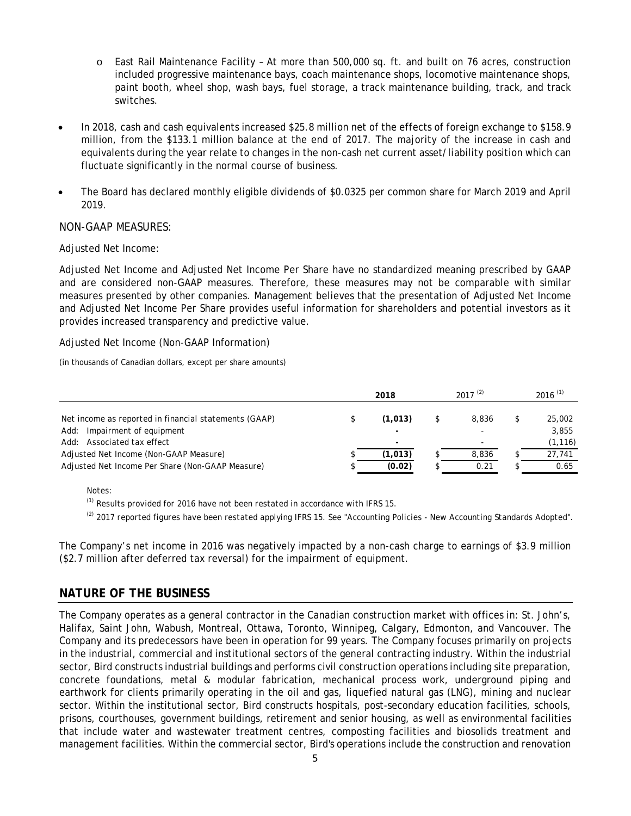- o East Rail Maintenance Facility At more than 500,000 sq. ft. and built on 76 acres, construction included progressive maintenance bays, coach maintenance shops, locomotive maintenance shops, paint booth, wheel shop, wash bays, fuel storage, a track maintenance building, track, and track switches.
- In 2018, cash and cash equivalents increased \$25.8 million net of the effects of foreign exchange to \$158.9 million, from the \$133.1 million balance at the end of 2017. The majority of the increase in cash and equivalents during the year relate to changes in the non-cash net current asset/liability position which can fluctuate significantly in the normal course of business.
- The Board has declared monthly eligible dividends of \$0.0325 per common share for March 2019 and April 2019.

# NON-GAAP MEASURES:

#### Adjusted Net Income:

Adjusted Net Income and Adjusted Net Income Per Share have no standardized meaning prescribed by GAAP and are considered non-GAAP measures. Therefore, these measures may not be comparable with similar measures presented by other companies. Management believes that the presentation of Adjusted Net Income and Adjusted Net Income Per Share provides useful information for shareholders and potential investors as it provides increased transparency and predictive value.

#### Adjusted Net Income (Non-GAAP Information)

(in thousands of Canadian dollars, except per share amounts)

|                                                       | 2018 |                          | $2017^{(2)}$ |       | $2016$ <sup>(1)</sup> |          |
|-------------------------------------------------------|------|--------------------------|--------------|-------|-----------------------|----------|
| Net income as reported in financial statements (GAAP) |      | (1.013)                  |              | 8.836 | \$                    | 25,002   |
| Add: Impairment of equipment                          |      | $\overline{\phantom{0}}$ |              |       |                       | 3,855    |
| Add: Associated tax effect                            |      |                          |              |       |                       | (1, 116) |
| Adjusted Net Income (Non-GAAP Measure)                |      | (1, 013)                 |              | 8,836 |                       | 27,741   |
| Adjusted Net Income Per Share (Non-GAAP Measure)      |      | (0.02)                   |              | 0.21  |                       | 0.65     |

Notes:

 $(1)$  Results provided for 2016 have not been restated in accordance with IFRS 15.

<sup>(2)</sup> 2017 reported figures have been restated applying IFRS 15. See "Accounting Policies - New Accounting Standards Adopted".

The Company's net income in 2016 was negatively impacted by a non-cash charge to earnings of \$3.9 million (\$2.7 million after deferred tax reversal) for the impairment of equipment.

# **NATURE OF THE BUSINESS**

The Company operates as a general contractor in the Canadian construction market with offices in: St. John's, Halifax, Saint John, Wabush, Montreal, Ottawa, Toronto, Winnipeg, Calgary, Edmonton, and Vancouver. The Company and its predecessors have been in operation for 99 years. The Company focuses primarily on projects in the industrial, commercial and institutional sectors of the general contracting industry. Within the industrial sector, Bird constructs industrial buildings and performs civil construction operations including site preparation, concrete foundations, metal & modular fabrication, mechanical process work, underground piping and earthwork for clients primarily operating in the oil and gas, liquefied natural gas (LNG), mining and nuclear sector. Within the institutional sector, Bird constructs hospitals, post-secondary education facilities, schools, prisons, courthouses, government buildings, retirement and senior housing, as well as environmental facilities that include water and wastewater treatment centres, composting facilities and biosolids treatment and management facilities. Within the commercial sector, Bird's operations include the construction and renovation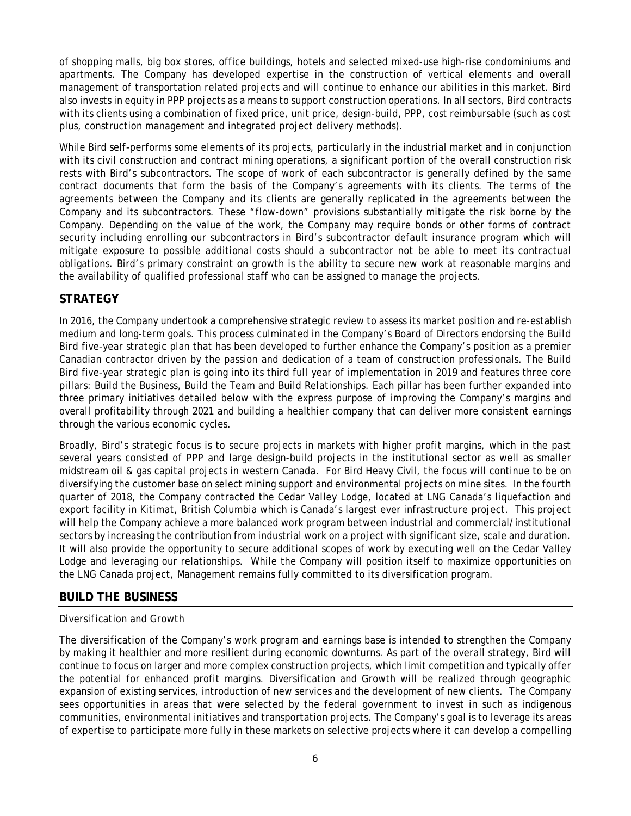of shopping malls, big box stores, office buildings, hotels and selected mixed-use high-rise condominiums and apartments. The Company has developed expertise in the construction of vertical elements and overall management of transportation related projects and will continue to enhance our abilities in this market. Bird also invests in equity in PPP projects as a means to support construction operations. In all sectors, Bird contracts with its clients using a combination of fixed price, unit price, design-build, PPP, cost reimbursable (such as cost plus, construction management and integrated project delivery methods).

While Bird self-performs some elements of its projects, particularly in the industrial market and in conjunction with its civil construction and contract mining operations, a significant portion of the overall construction risk rests with Bird's subcontractors. The scope of work of each subcontractor is generally defined by the same contract documents that form the basis of the Company's agreements with its clients. The terms of the agreements between the Company and its clients are generally replicated in the agreements between the Company and its subcontractors. These "flow-down" provisions substantially mitigate the risk borne by the Company. Depending on the value of the work, the Company may require bonds or other forms of contract security including enrolling our subcontractors in Bird's subcontractor default insurance program which will mitigate exposure to possible additional costs should a subcontractor not be able to meet its contractual obligations. Bird's primary constraint on growth is the ability to secure new work at reasonable margins and the availability of qualified professional staff who can be assigned to manage the projects.

# **STRATEGY**

In 2016, the Company undertook a comprehensive strategic review to assess its market position and re-establish medium and long-term goals. This process culminated in the Company's Board of Directors endorsing the *Build Bird* five-year strategic plan that has been developed to further enhance the Company's position as a premier Canadian contractor driven by the passion and dedication of a team of construction professionals. The *Build Bird* five-year strategic plan is going into its third full year of implementation in 2019 and features three core pillars: Build the Business, Build the Team and Build Relationships. Each pillar has been further expanded into three primary initiatives detailed below with the express purpose of improving the Company's margins and overall profitability through 2021 and building a healthier company that can deliver more consistent earnings through the various economic cycles.

Broadly, Bird's strategic focus is to secure projects in markets with higher profit margins, which in the past several years consisted of PPP and large design-build projects in the institutional sector as well as smaller midstream oil & gas capital projects in western Canada. For Bird Heavy Civil, the focus will continue to be on diversifying the customer base on select mining support and environmental projects on mine sites. In the fourth quarter of 2018, the Company contracted the Cedar Valley Lodge, located at LNG Canada's liquefaction and export facility in Kitimat, British Columbia which is Canada's largest ever infrastructure project. This project will help the Company achieve a more balanced work program between industrial and commercial/institutional sectors by increasing the contribution from industrial work on a project with significant size, scale and duration. It will also provide the opportunity to secure additional scopes of work by executing well on the Cedar Valley Lodge and leveraging our relationships. While the Company will position itself to maximize opportunities on the LNG Canada project, Management remains fully committed to its diversification program.

# **BUILD THE BUSINESS**

# *Diversification and Growth*

The diversification of the Company's work program and earnings base is intended to strengthen the Company by making it healthier and more resilient during economic downturns. As part of the overall strategy, Bird will continue to focus on larger and more complex construction projects, which limit competition and typically offer the potential for enhanced profit margins. Diversification and Growth will be realized through geographic expansion of existing services, introduction of new services and the development of new clients. The Company sees opportunities in areas that were selected by the federal government to invest in such as indigenous communities, environmental initiatives and transportation projects. The Company's goal is to leverage its areas of expertise to participate more fully in these markets on selective projects where it can develop a compelling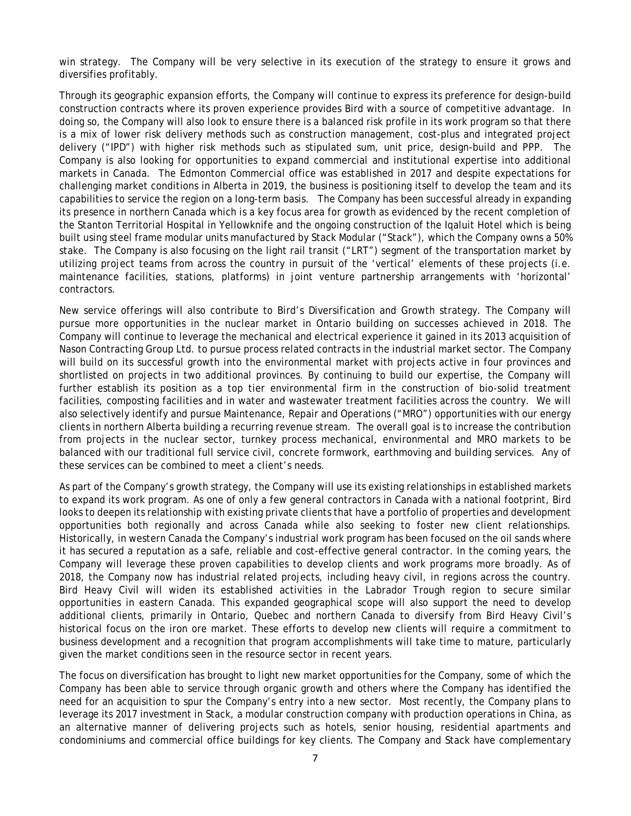win strategy. The Company will be very selective in its execution of the strategy to ensure it grows and diversifies profitably.

Through its geographic expansion efforts, the Company will continue to express its preference for design-build construction contracts where its proven experience provides Bird with a source of competitive advantage. In doing so, the Company will also look to ensure there is a balanced risk profile in its work program so that there is a mix of lower risk delivery methods such as construction management, cost-plus and integrated project delivery ("IPD") with higher risk methods such as stipulated sum, unit price, design-build and PPP. The Company is also looking for opportunities to expand commercial and institutional expertise into additional markets in Canada. The Edmonton Commercial office was established in 2017 and despite expectations for challenging market conditions in Alberta in 2019, the business is positioning itself to develop the team and its capabilities to service the region on a long-term basis. The Company has been successful already in expanding its presence in northern Canada which is a key focus area for growth as evidenced by the recent completion of the Stanton Territorial Hospital in Yellowknife and the ongoing construction of the Iqaluit Hotel which is being built using steel frame modular units manufactured by Stack Modular ("Stack"), which the Company owns a 50% stake. The Company is also focusing on the light rail transit ("LRT") segment of the transportation market by utilizing project teams from across the country in pursuit of the 'vertical' elements of these projects (i.e. maintenance facilities, stations, platforms) in joint venture partnership arrangements with 'horizontal' contractors.

New service offerings will also contribute to Bird's Diversification and Growth strategy. The Company will pursue more opportunities in the nuclear market in Ontario building on successes achieved in 2018. The Company will continue to leverage the mechanical and electrical experience it gained in its 2013 acquisition of Nason Contracting Group Ltd. to pursue process related contracts in the industrial market sector. The Company will build on its successful growth into the environmental market with projects active in four provinces and shortlisted on projects in two additional provinces. By continuing to build our expertise, the Company will further establish its position as a top tier environmental firm in the construction of bio-solid treatment facilities, composting facilities and in water and wastewater treatment facilities across the country. We will also selectively identify and pursue Maintenance, Repair and Operations ("MRO") opportunities with our energy clients in northern Alberta building a recurring revenue stream. The overall goal is to increase the contribution from projects in the nuclear sector, turnkey process mechanical, environmental and MRO markets to be balanced with our traditional full service civil, concrete formwork, earthmoving and building services. Any of these services can be combined to meet a client's needs.

As part of the Company's growth strategy, the Company will use its existing relationships in established markets to expand its work program. As one of only a few general contractors in Canada with a national footprint, Bird looks to deepen its relationship with existing private clients that have a portfolio of properties and development opportunities both regionally and across Canada while also seeking to foster new client relationships. Historically, in western Canada the Company's industrial work program has been focused on the oil sands where it has secured a reputation as a safe, reliable and cost-effective general contractor. In the coming years, the Company will leverage these proven capabilities to develop clients and work programs more broadly. As of 2018, the Company now has industrial related projects, including heavy civil, in regions across the country. Bird Heavy Civil will widen its established activities in the Labrador Trough region to secure similar opportunities in eastern Canada. This expanded geographical scope will also support the need to develop additional clients, primarily in Ontario, Quebec and northern Canada to diversify from Bird Heavy Civil's historical focus on the iron ore market. These efforts to develop new clients will require a commitment to business development and a recognition that program accomplishments will take time to mature, particularly given the market conditions seen in the resource sector in recent years.

The focus on diversification has brought to light new market opportunities for the Company, some of which the Company has been able to service through organic growth and others where the Company has identified the need for an acquisition to spur the Company's entry into a new sector. Most recently, the Company plans to leverage its 2017 investment in Stack, a modular construction company with production operations in China, as an alternative manner of delivering projects such as hotels, senior housing, residential apartments and condominiums and commercial office buildings for key clients. The Company and Stack have complementary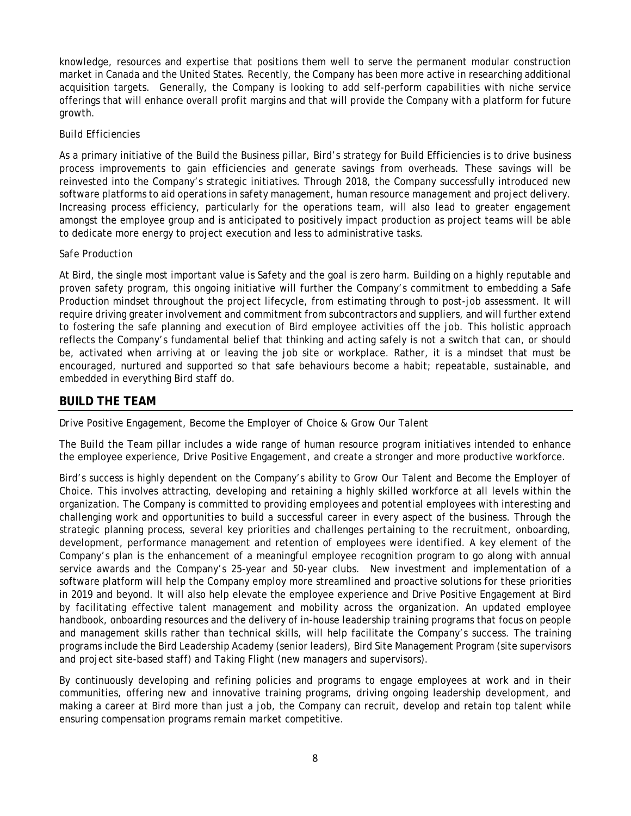knowledge, resources and expertise that positions them well to serve the permanent modular construction market in Canada and the United States. Recently, the Company has been more active in researching additional acquisition targets. Generally, the Company is looking to add self-perform capabilities with niche service offerings that will enhance overall profit margins and that will provide the Company with a platform for future growth.

# *Build Efficiencies*

As a primary initiative of the Build the Business pillar, Bird's strategy for Build Efficiencies is to drive business process improvements to gain efficiencies and generate savings from overheads. These savings will be reinvested into the Company's strategic initiatives. Through 2018, the Company successfully introduced new software platforms to aid operations in safety management, human resource management and project delivery. Increasing process efficiency, particularly for the operations team, will also lead to greater engagement amongst the employee group and is anticipated to positively impact production as project teams will be able to dedicate more energy to project execution and less to administrative tasks.

# *Safe Production*

At Bird, the single most important value is Safety and the goal is zero harm. Building on a highly reputable and proven safety program, this ongoing initiative will further the Company's commitment to embedding a Safe Production mindset throughout the project lifecycle, from estimating through to post-job assessment. It will require driving greater involvement and commitment from subcontractors and suppliers, and will further extend to fostering the safe planning and execution of Bird employee activities off the job. This holistic approach reflects the Company's fundamental belief that thinking and acting safely is not a switch that can, or should be, activated when arriving at or leaving the job site or workplace. Rather, it is a mindset that must be encouraged, nurtured and supported so that safe behaviours become a habit; repeatable, sustainable, and embedded in everything Bird staff do.

# **BUILD THE TEAM**

*Drive Positive Engagement, Become the Employer of Choice & Grow Our Talent* 

The *Build the Team* pillar includes a wide range of human resource program initiatives intended to enhance the employee experience, *Drive Positive Engagement*, and create a stronger and more productive workforce.

Bird's success is highly dependent on the Company's ability to *Grow Our Talent and Become the Employer of Choice*. This involves attracting, developing and retaining a highly skilled workforce at all levels within the organization. The Company is committed to providing employees and potential employees with interesting and challenging work and opportunities to build a successful career in every aspect of the business. Through the strategic planning process, several key priorities and challenges pertaining to the recruitment, onboarding, development, performance management and retention of employees were identified. A key element of the Company's plan is the enhancement of a meaningful employee recognition program to go along with annual service awards and the Company's 25-year and 50-year clubs. New investment and implementation of a software platform will help the Company employ more streamlined and proactive solutions for these priorities in 2019 and beyond. It will also help elevate the employee experience and *Drive Positive Engagement* at Bird by facilitating effective talent management and mobility across the organization. An updated employee handbook, onboarding resources and the delivery of in-house leadership training programs that focus on people and management skills rather than technical skills, will help facilitate the Company's success. The training programs include the Bird Leadership Academy (senior leaders), Bird Site Management Program (site supervisors and project site-based staff) and Taking Flight (new managers and supervisors).

By continuously developing and refining policies and programs to engage employees at work and in their communities, offering new and innovative training programs, driving ongoing leadership development, and making a career at Bird more than just a job, the Company can recruit, develop and retain top talent while ensuring compensation programs remain market competitive.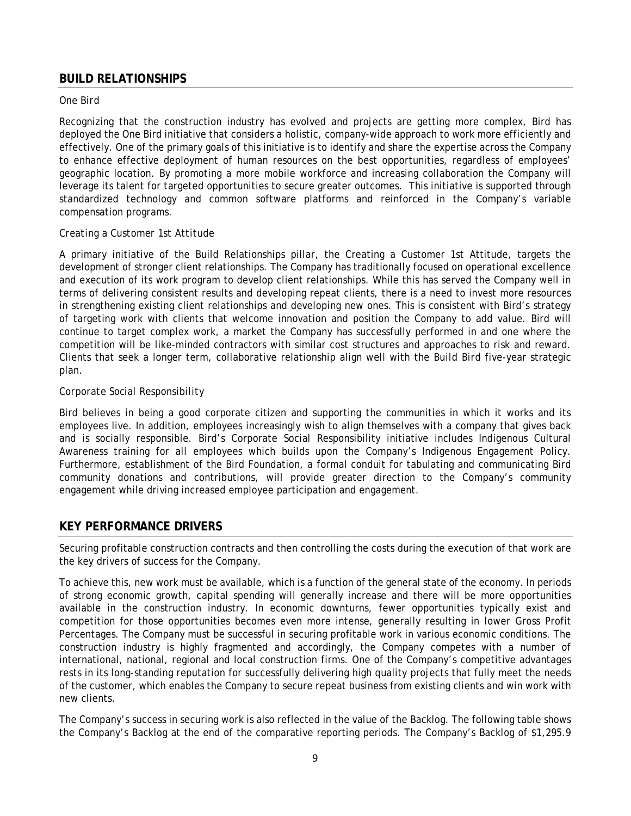# **BUILD RELATIONSHIPS**

# *One Bird*

Recognizing that the construction industry has evolved and projects are getting more complex, Bird has deployed the One Bird initiative that considers a holistic, company-wide approach to work more efficiently and effectively. One of the primary goals of this initiative is to identify and share the expertise across the Company to enhance effective deployment of human resources on the best opportunities, regardless of employees' geographic location. By promoting a more mobile workforce and increasing collaboration the Company will leverage its talent for targeted opportunities to secure greater outcomes. This initiative is supported through standardized technology and common software platforms and reinforced in the Company's variable compensation programs.

# *Creating a Customer 1st Attitude*

A primary initiative of the Build Relationships pillar, the Creating a Customer 1st Attitude, targets the development of stronger client relationships. The Company has traditionally focused on operational excellence and execution of its work program to develop client relationships. While this has served the Company well in terms of delivering consistent results and developing repeat clients, there is a need to invest more resources in strengthening existing client relationships and developing new ones. This is consistent with Bird's strategy of targeting work with clients that welcome innovation and position the Company to add value. Bird will continue to target complex work, a market the Company has successfully performed in and one where the competition will be like-minded contractors with similar cost structures and approaches to risk and reward. Clients that seek a longer term, collaborative relationship align well with the *Build Bird* five-year strategic plan.

# *Corporate Social Responsibility*

Bird believes in being a good corporate citizen and supporting the communities in which it works and its employees live. In addition, employees increasingly wish to align themselves with a company that gives back and is socially responsible. Bird's Corporate Social Responsibility initiative includes Indigenous Cultural Awareness training for all employees which builds upon the Company's Indigenous Engagement Policy. Furthermore, establishment of the Bird Foundation, a formal conduit for tabulating and communicating Bird community donations and contributions, will provide greater direction to the Company's community engagement while driving increased employee participation and engagement.

# **KEY PERFORMANCE DRIVERS**

Securing profitable construction contracts and then controlling the costs during the execution of that work are the key drivers of success for the Company.

To achieve this, new work must be available, which is a function of the general state of the economy. In periods of strong economic growth, capital spending will generally increase and there will be more opportunities available in the construction industry. In economic downturns, fewer opportunities typically exist and competition for those opportunities becomes even more intense, generally resulting in lower Gross Profit Percentages. The Company must be successful in securing profitable work in various economic conditions. The construction industry is highly fragmented and accordingly, the Company competes with a number of international, national, regional and local construction firms. One of the Company's competitive advantages rests in its long-standing reputation for successfully delivering high quality projects that fully meet the needs of the customer, which enables the Company to secure repeat business from existing clients and win work with new clients.

The Company's success in securing work is also reflected in the value of the Backlog. The following table shows the Company's Backlog at the end of the comparative reporting periods. The Company's Backlog of \$1,295.9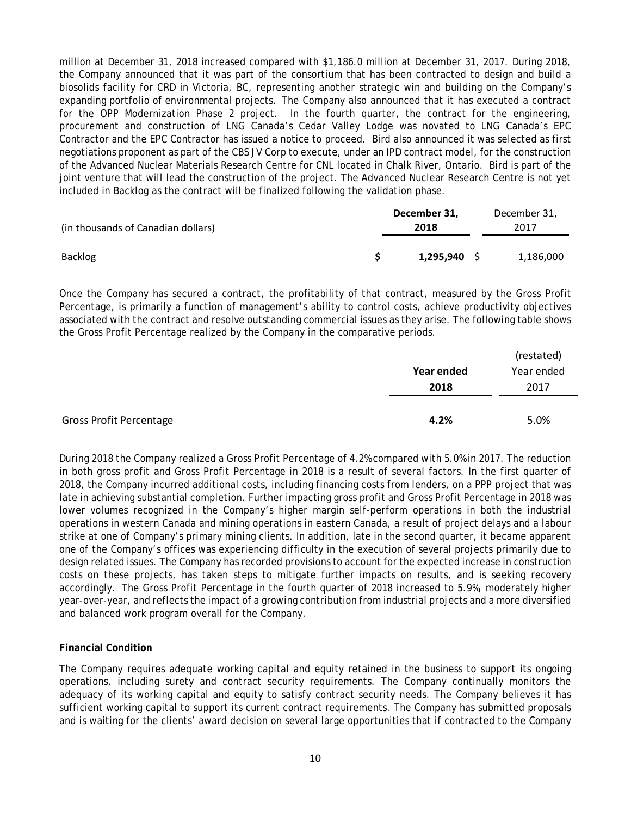million at December 31, 2018 increased compared with \$1,186.0 million at December 31, 2017. During 2018, the Company announced that it was part of the consortium that has been contracted to design and build a biosolids facility for CRD in Victoria, BC, representing another strategic win and building on the Company's expanding portfolio of environmental projects. The Company also announced that it has executed a contract for the OPP Modernization Phase 2 project. In the fourth quarter, the contract for the engineering, procurement and construction of LNG Canada's Cedar Valley Lodge was novated to LNG Canada's EPC Contractor and the EPC Contractor has issued a notice to proceed. Bird also announced it was selected as first negotiations proponent as part of the CBS JV Corp to execute, under an IPD contract model, for the construction of the Advanced Nuclear Materials Research Centre for CNL located in Chalk River, Ontario. Bird is part of the joint venture that will lead the construction of the project. The Advanced Nuclear Research Centre is not yet included in Backlog as the contract will be finalized following the validation phase.

| (in thousands of Canadian dollars) | December 31,<br>2018 | December 31,<br>2017 |
|------------------------------------|----------------------|----------------------|
| <b>Backlog</b>                     | $1,295,940$ \$       | 1,186,000            |

Once the Company has secured a contract, the profitability of that contract, measured by the Gross Profit Percentage, is primarily a function of management's ability to control costs, achieve productivity objectives associated with the contract and resolve outstanding commercial issues as they arise. The following table shows the Gross Profit Percentage realized by the Company in the comparative periods.

|                                |            | (restated) |
|--------------------------------|------------|------------|
|                                | Year ended | Year ended |
|                                | 2018       | 2017       |
|                                |            |            |
| <b>Gross Profit Percentage</b> | 4.2%       | 5.0%       |

During 2018 the Company realized a Gross Profit Percentage of 4.2% compared with 5.0% in 2017. The reduction in both gross profit and Gross Profit Percentage in 2018 is a result of several factors. In the first quarter of 2018, the Company incurred additional costs, including financing costs from lenders, on a PPP project that was late in achieving substantial completion. Further impacting gross profit and Gross Profit Percentage in 2018 was lower volumes recognized in the Company's higher margin self-perform operations in both the industrial operations in western Canada and mining operations in eastern Canada, a result of project delays and a labour strike at one of Company's primary mining clients. In addition, late in the second quarter, it became apparent one of the Company's offices was experiencing difficulty in the execution of several projects primarily due to design related issues. The Company has recorded provisions to account for the expected increase in construction costs on these projects, has taken steps to mitigate further impacts on results, and is seeking recovery accordingly. The Gross Profit Percentage in the fourth quarter of 2018 increased to 5.9%, moderately higher year-over-year, and reflects the impact of a growing contribution from industrial projects and a more diversified and balanced work program overall for the Company.

# **Financial Condition**

The Company requires adequate working capital and equity retained in the business to support its ongoing operations, including surety and contract security requirements. The Company continually monitors the adequacy of its working capital and equity to satisfy contract security needs. The Company believes it has sufficient working capital to support its current contract requirements. The Company has submitted proposals and is waiting for the clients' award decision on several large opportunities that if contracted to the Company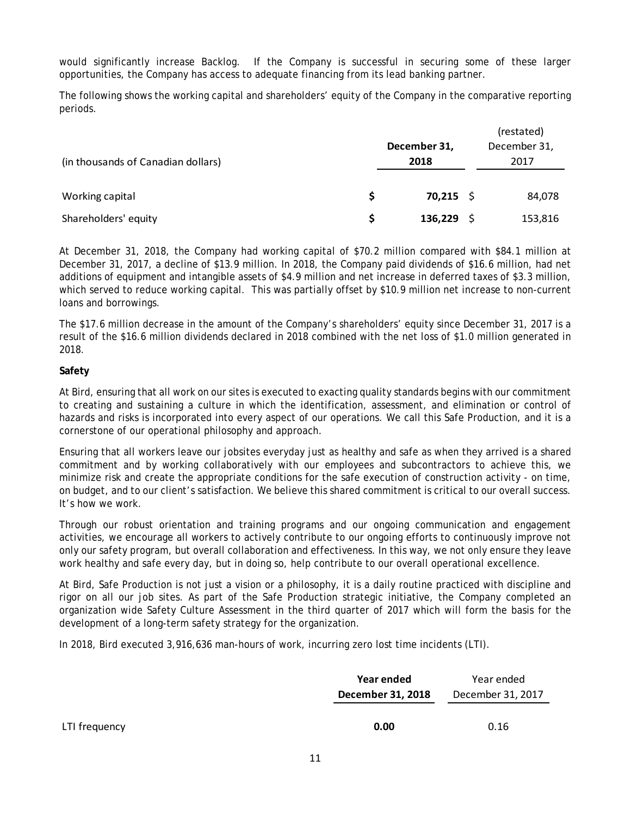would significantly increase Backlog. If the Company is successful in securing some of these larger opportunities, the Company has access to adequate financing from its lead banking partner.

The following shows the working capital and shareholders' equity of the Company in the comparative reporting periods.

| (in thousands of Canadian dollars) | December 31,<br>2018 | (restated)<br>December 31,<br>2017 |
|------------------------------------|----------------------|------------------------------------|
| Working capital                    | $70,215$ \$          | 84,078                             |
| Shareholders' equity               | 136,229              | 153,816                            |

At December 31, 2018, the Company had working capital of \$70.2 million compared with \$84.1 million at December 31, 2017, a decline of \$13.9 million. In 2018, the Company paid dividends of \$16.6 million, had net additions of equipment and intangible assets of \$4.9 million and net increase in deferred taxes of \$3.3 million, which served to reduce working capital. This was partially offset by \$10.9 million net increase to non-current loans and borrowings.

The \$17.6 million decrease in the amount of the Company's shareholders' equity since December 31, 2017 is a result of the \$16.6 million dividends declared in 2018 combined with the net loss of \$1.0 million generated in 2018.

# **Safety**

At Bird, ensuring that all work on our sites is executed to exacting quality standards begins with our commitment to creating and sustaining a culture in which the identification, assessment, and elimination or control of hazards and risks is incorporated into every aspect of our operations. We call this Safe Production, and it is a cornerstone of our operational philosophy and approach.

Ensuring that all workers leave our jobsites everyday just as healthy and safe as when they arrived is a shared commitment and by working collaboratively with our employees and subcontractors to achieve this, we minimize risk and create the appropriate conditions for the safe execution of construction activity - on time, on budget, and to our client's satisfaction. We believe this shared commitment is critical to our overall success. It's how we work.

Through our robust orientation and training programs and our ongoing communication and engagement activities, we encourage all workers to actively contribute to our ongoing efforts to continuously improve not only our safety program, but overall collaboration and effectiveness. In this way, we not only ensure they leave work healthy and safe every day, but in doing so, help contribute to our overall operational excellence.

At Bird, Safe Production is not just a vision or a philosophy, it is a daily routine practiced with discipline and rigor on all our job sites. As part of the Safe Production strategic initiative, the Company completed an organization wide Safety Culture Assessment in the third quarter of 2017 which will form the basis for the development of a long-term safety strategy for the organization.

In 2018, Bird executed 3,916,636 man-hours of work, incurring zero lost time incidents (LTI).

|               | Year ended<br>December 31, 2018 | Year ended<br>December 31, 2017 |
|---------------|---------------------------------|---------------------------------|
| LTI frequency | 0.00                            | 0.16                            |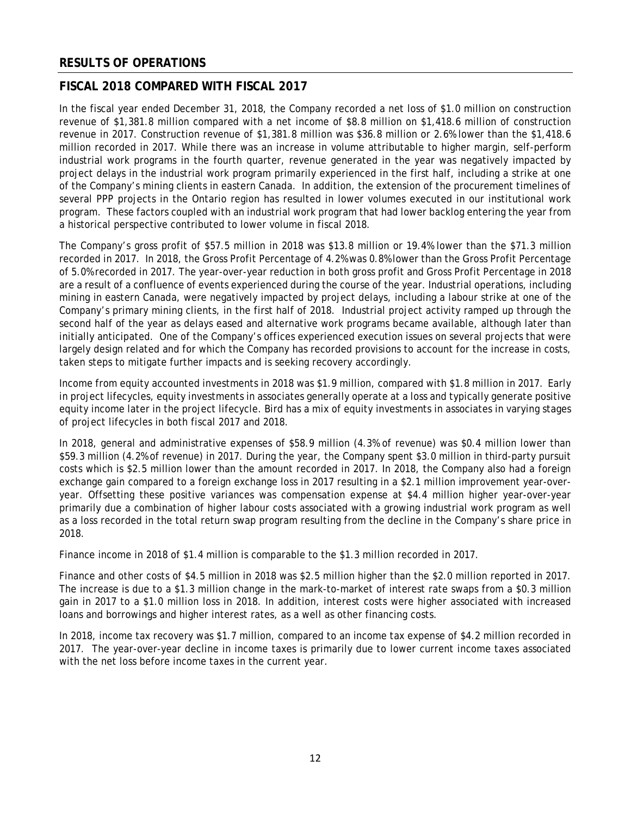# **RESULTS OF OPERATIONS**

# **FISCAL 2018 COMPARED WITH FISCAL 2017**

In the fiscal year ended December 31, 2018, the Company recorded a net loss of \$1.0 million on construction revenue of \$1,381.8 million compared with a net income of \$8.8 million on \$1,418.6 million of construction revenue in 2017. Construction revenue of \$1,381.8 million was \$36.8 million or 2.6% lower than the \$1,418.6 million recorded in 2017. While there was an increase in volume attributable to higher margin, self-perform industrial work programs in the fourth quarter, revenue generated in the year was negatively impacted by project delays in the industrial work program primarily experienced in the first half, including a strike at one of the Company's mining clients in eastern Canada. In addition, the extension of the procurement timelines of several PPP projects in the Ontario region has resulted in lower volumes executed in our institutional work program. These factors coupled with an industrial work program that had lower backlog entering the year from a historical perspective contributed to lower volume in fiscal 2018.

The Company's gross profit of \$57.5 million in 2018 was \$13.8 million or 19.4% lower than the \$71.3 million recorded in 2017. In 2018, the Gross Profit Percentage of 4.2% was 0.8% lower than the Gross Profit Percentage of 5.0% recorded in 2017. The year-over-year reduction in both gross profit and Gross Profit Percentage in 2018 are a result of a confluence of events experienced during the course of the year. Industrial operations, including mining in eastern Canada, were negatively impacted by project delays, including a labour strike at one of the Company's primary mining clients, in the first half of 2018. Industrial project activity ramped up through the second half of the year as delays eased and alternative work programs became available, although later than initially anticipated. One of the Company's offices experienced execution issues on several projects that were largely design related and for which the Company has recorded provisions to account for the increase in costs, taken steps to mitigate further impacts and is seeking recovery accordingly.

Income from equity accounted investments in 2018 was \$1.9 million, compared with \$1.8 million in 2017. Early in project lifecycles, equity investments in associates generally operate at a loss and typically generate positive equity income later in the project lifecycle. Bird has a mix of equity investments in associates in varying stages of project lifecycles in both fiscal 2017 and 2018.

In 2018, general and administrative expenses of \$58.9 million (4.3% of revenue) was \$0.4 million lower than \$59.3 million (4.2% of revenue) in 2017. During the year, the Company spent \$3.0 million in third-party pursuit costs which is \$2.5 million lower than the amount recorded in 2017. In 2018, the Company also had a foreign exchange gain compared to a foreign exchange loss in 2017 resulting in a \$2.1 million improvement year-overyear. Offsetting these positive variances was compensation expense at \$4.4 million higher year-over-year primarily due a combination of higher labour costs associated with a growing industrial work program as well as a loss recorded in the total return swap program resulting from the decline in the Company's share price in 2018.

Finance income in 2018 of \$1.4 million is comparable to the \$1.3 million recorded in 2017.

Finance and other costs of \$4.5 million in 2018 was \$2.5 million higher than the \$2.0 million reported in 2017. The increase is due to a \$1.3 million change in the mark-to-market of interest rate swaps from a \$0.3 million gain in 2017 to a \$1.0 million loss in 2018. In addition, interest costs were higher associated with increased loans and borrowings and higher interest rates, as a well as other financing costs.

In 2018, income tax recovery was \$1.7 million, compared to an income tax expense of \$4.2 million recorded in 2017. The year-over-year decline in income taxes is primarily due to lower current income taxes associated with the net loss before income taxes in the current year.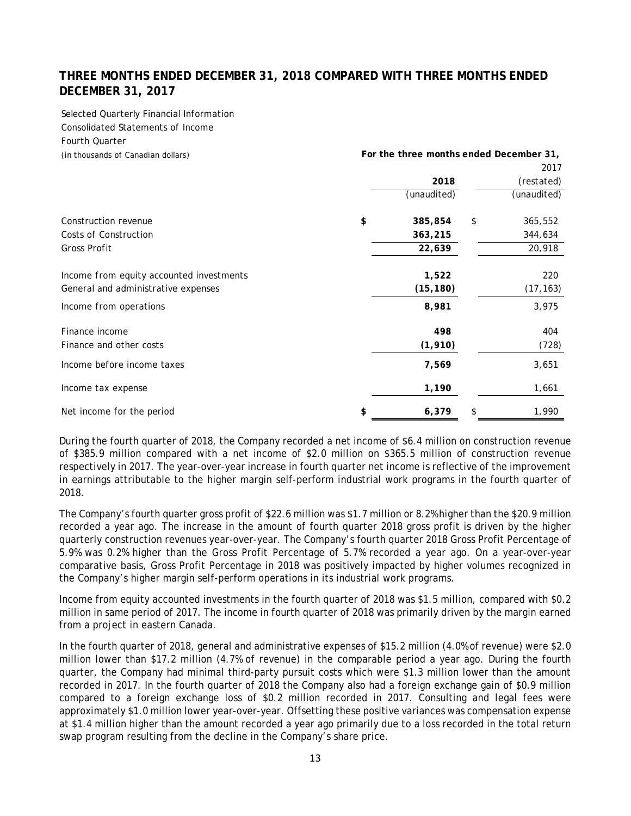# **THREE MONTHS ENDED DECEMBER 31, 2018 COMPARED WITH THREE MONTHS ENDED DECEMBER 31, 2017**

Selected Quarterly Financial Information Consolidated Statements of Income Fourth Quarter (in thousands of Canadian dollars)

| For the three months ended December 31,<br>(in thousands of Canadian dollars) |    |             |    |             |
|-------------------------------------------------------------------------------|----|-------------|----|-------------|
|                                                                               |    |             |    | 2017        |
|                                                                               |    | 2018        |    | (restated)  |
|                                                                               |    | (unaudited) |    | (unaudited) |
| Construction revenue                                                          | \$ | 385,854     | \$ | 365,552     |
| Costs of Construction                                                         |    | 363,215     |    | 344,634     |
| <b>Gross Profit</b>                                                           |    | 22,639      |    | 20,918      |
| Income from equity accounted investments                                      |    | 1,522       |    | 220         |
| General and administrative expenses                                           |    | (15, 180)   |    | (17, 163)   |
| Income from operations                                                        |    | 8,981       |    | 3,975       |
| Finance income                                                                |    | 498         |    | 404         |
| Finance and other costs                                                       |    | (1, 910)    |    | (728)       |
| Income before income taxes                                                    |    | 7,569       |    | 3,651       |
| Income tax expense                                                            |    | 1,190       |    | 1,661       |
| Net income for the period                                                     | \$ | 6,379       | \$ | 1,990       |

During the fourth quarter of 2018, the Company recorded a net income of \$6.4 million on construction revenue of \$385.9 million compared with a net income of \$2.0 million on \$365.5 million of construction revenue respectively in 2017. The year-over-year increase in fourth quarter net income is reflective of the improvement in earnings attributable to the higher margin self-perform industrial work programs in the fourth quarter of 2018.

The Company's fourth quarter gross profit of \$22.6 million was \$1.7 million or 8.2% higher than the \$20.9 million recorded a year ago. The increase in the amount of fourth quarter 2018 gross profit is driven by the higher quarterly construction revenues year-over-year. The Company's fourth quarter 2018 Gross Profit Percentage of 5.9% was 0.2% higher than the Gross Profit Percentage of 5.7% recorded a year ago. On a year-over-year comparative basis, Gross Profit Percentage in 2018 was positively impacted by higher volumes recognized in the Company's higher margin self-perform operations in its industrial work programs.

Income from equity accounted investments in the fourth quarter of 2018 was \$1.5 million, compared with \$0.2 million in same period of 2017. The income in fourth quarter of 2018 was primarily driven by the margin earned from a project in eastern Canada.

In the fourth quarter of 2018, general and administrative expenses of \$15.2 million (4.0% of revenue) were \$2.0 million lower than \$17.2 million (4.7% of revenue) in the comparable period a year ago. During the fourth quarter, the Company had minimal third-party pursuit costs which were \$1.3 million lower than the amount recorded in 2017. In the fourth quarter of 2018 the Company also had a foreign exchange gain of \$0.9 million compared to a foreign exchange loss of \$0.2 million recorded in 2017. Consulting and legal fees were approximately \$1.0 million lower year-over-year. Offsetting these positive variances was compensation expense at \$1.4 million higher than the amount recorded a year ago primarily due to a loss recorded in the total return swap program resulting from the decline in the Company's share price.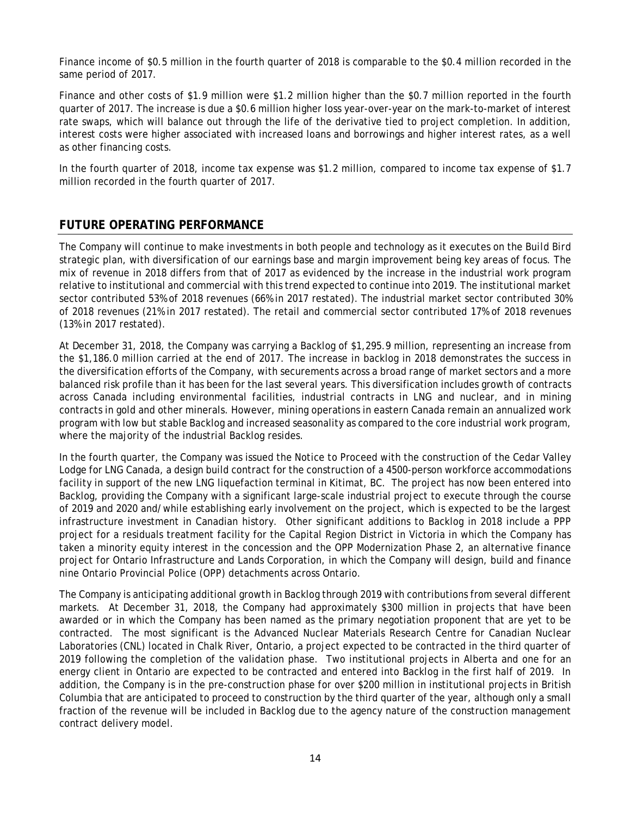Finance income of \$0.5 million in the fourth quarter of 2018 is comparable to the \$0.4 million recorded in the same period of 2017.

Finance and other costs of \$1.9 million were \$1.2 million higher than the \$0.7 million reported in the fourth quarter of 2017. The increase is due a \$0.6 million higher loss year-over-year on the mark-to-market of interest rate swaps, which will balance out through the life of the derivative tied to project completion. In addition, interest costs were higher associated with increased loans and borrowings and higher interest rates, as a well as other financing costs.

In the fourth quarter of 2018, income tax expense was \$1.2 million, compared to income tax expense of \$1.7 million recorded in the fourth quarter of 2017.

# **FUTURE OPERATING PERFORMANCE**

The Company will continue to make investments in both people and technology as it executes on the *Build Bird* strategic plan, with diversification of our earnings base and margin improvement being key areas of focus. The mix of revenue in 2018 differs from that of 2017 as evidenced by the increase in the industrial work program relative to institutional and commercial with this trend expected to continue into 2019. The institutional market sector contributed 53% of 2018 revenues (66% in 2017 restated). The industrial market sector contributed 30% of 2018 revenues (21% in 2017 restated). The retail and commercial sector contributed 17% of 2018 revenues (13% in 2017 restated).

At December 31, 2018, the Company was carrying a Backlog of \$1,295.9 million, representing an increase from the \$1,186.0 million carried at the end of 2017. The increase in backlog in 2018 demonstrates the success in the diversification efforts of the Company, with securements across a broad range of market sectors and a more balanced risk profile than it has been for the last several years. This diversification includes growth of contracts across Canada including environmental facilities, industrial contracts in LNG and nuclear, and in mining contracts in gold and other minerals. However, mining operations in eastern Canada remain an annualized work program with low but stable Backlog and increased seasonality as compared to the core industrial work program, where the majority of the industrial Backlog resides.

In the fourth quarter, the Company was issued the Notice to Proceed with the construction of the Cedar Valley Lodge for LNG Canada, a design build contract for the construction of a 4500-person workforce accommodations facility in support of the new LNG liquefaction terminal in Kitimat, BC. The project has now been entered into Backlog, providing the Company with a significant large-scale industrial project to execute through the course of 2019 and 2020 and/while establishing early involvement on the project, which is expected to be the largest infrastructure investment in Canadian history. Other significant additions to Backlog in 2018 include a PPP project for a residuals treatment facility for the Capital Region District in Victoria in which the Company has taken a minority equity interest in the concession and the OPP Modernization Phase 2, an alternative finance project for Ontario Infrastructure and Lands Corporation, in which the Company will design, build and finance nine Ontario Provincial Police (OPP) detachments across Ontario.

The Company is anticipating additional growth in Backlog through 2019 with contributions from several different markets. At December 31, 2018, the Company had approximately \$300 million in projects that have been awarded or in which the Company has been named as the primary negotiation proponent that are yet to be contracted. The most significant is the Advanced Nuclear Materials Research Centre for Canadian Nuclear Laboratories (CNL) located in Chalk River, Ontario, a project expected to be contracted in the third quarter of 2019 following the completion of the validation phase. Two institutional projects in Alberta and one for an energy client in Ontario are expected to be contracted and entered into Backlog in the first half of 2019. In addition, the Company is in the pre-construction phase for over \$200 million in institutional projects in British Columbia that are anticipated to proceed to construction by the third quarter of the year, although only a small fraction of the revenue will be included in Backlog due to the agency nature of the construction management contract delivery model.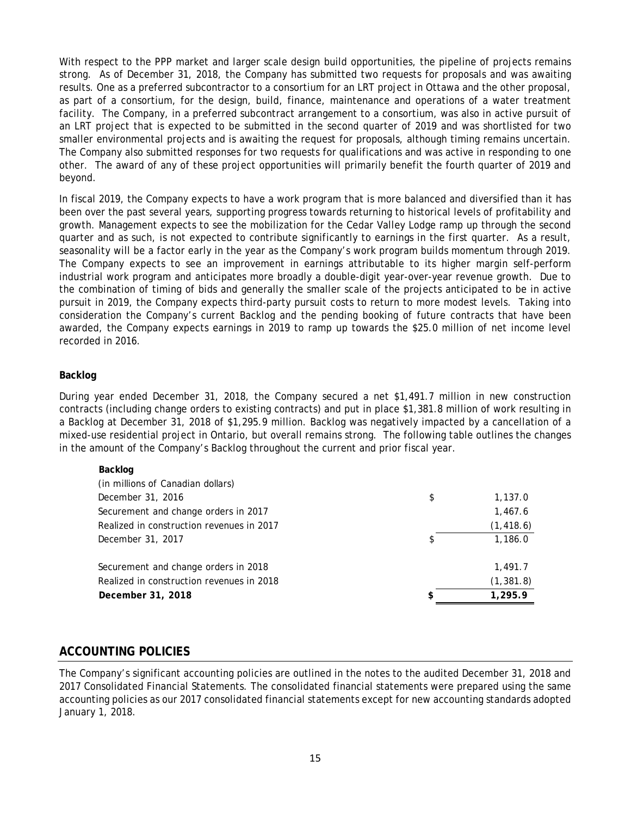With respect to the PPP market and larger scale design build opportunities, the pipeline of projects remains strong. As of December 31, 2018, the Company has submitted two requests for proposals and was awaiting results. One as a preferred subcontractor to a consortium for an LRT project in Ottawa and the other proposal, as part of a consortium, for the design, build, finance, maintenance and operations of a water treatment facility. The Company, in a preferred subcontract arrangement to a consortium, was also in active pursuit of an LRT project that is expected to be submitted in the second quarter of 2019 and was shortlisted for two smaller environmental projects and is awaiting the request for proposals, although timing remains uncertain. The Company also submitted responses for two requests for qualifications and was active in responding to one other. The award of any of these project opportunities will primarily benefit the fourth quarter of 2019 and beyond.

In fiscal 2019, the Company expects to have a work program that is more balanced and diversified than it has been over the past several years, supporting progress towards returning to historical levels of profitability and growth. Management expects to see the mobilization for the Cedar Valley Lodge ramp up through the second quarter and as such, is not expected to contribute significantly to earnings in the first quarter. As a result, seasonality will be a factor early in the year as the Company's work program builds momentum through 2019. The Company expects to see an improvement in earnings attributable to its higher margin self-perform industrial work program and anticipates more broadly a double-digit year-over-year revenue growth. Due to the combination of timing of bids and generally the smaller scale of the projects anticipated to be in active pursuit in 2019, the Company expects third-party pursuit costs to return to more modest levels. Taking into consideration the Company's current Backlog and the pending booking of future contracts that have been awarded, the Company expects earnings in 2019 to ramp up towards the \$25.0 million of net income level recorded in 2016.

# **Backlog**

During year ended December 31, 2018, the Company secured a net \$1,491.7 million in new construction contracts (including change orders to existing contracts) and put in place \$1,381.8 million of work resulting in a Backlog at December 31, 2018 of \$1,295.9 million. Backlog was negatively impacted by a cancellation of a mixed-use residential project in Ontario, but overall remains strong. The following table outlines the changes in the amount of the Company's Backlog throughout the current and prior fiscal year.

| Backlog                                   |    |            |
|-------------------------------------------|----|------------|
| (in millions of Canadian dollars)         |    |            |
| December 31, 2016                         | \$ | 1,137.0    |
| Securement and change orders in 2017      |    | 1,467.6    |
| Realized in construction revenues in 2017 |    | (1, 418.6) |
| December 31, 2017                         | \$ | 1,186.0    |
| Securement and change orders in 2018      |    | 1,491.7    |
| Realized in construction revenues in 2018 |    | (1, 381.8) |
| December 31, 2018                         | S  | 1,295.9    |
|                                           |    |            |

# **ACCOUNTING POLICIES**

The Company's significant accounting policies are outlined in the notes to the audited December 31, 2018 and 2017 Consolidated Financial Statements. The consolidated financial statements were prepared using the same accounting policies as our 2017 consolidated financial statements except for new accounting standards adopted January 1, 2018.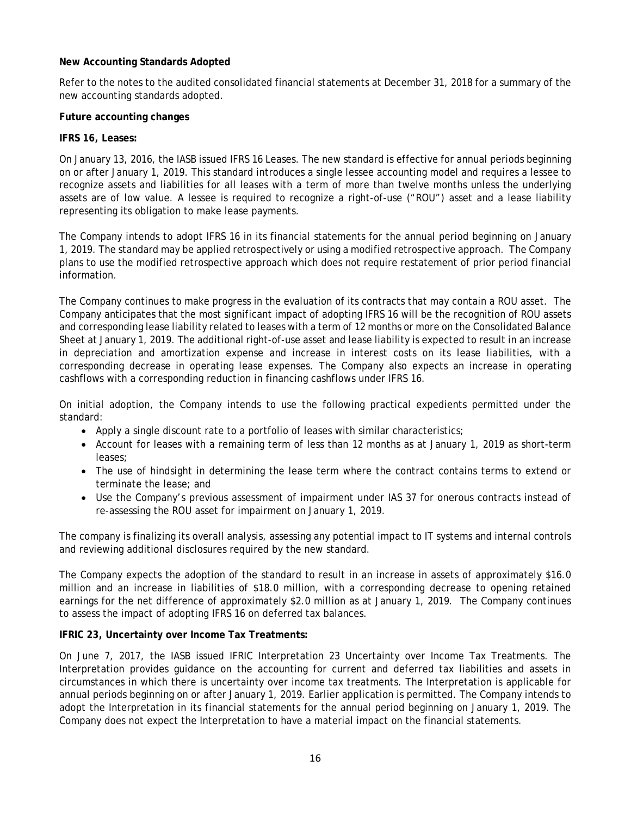### **New Accounting Standards Adopted**

Refer to the notes to the audited consolidated financial statements at December 31, 2018 for a summary of the new accounting standards adopted.

#### **Future accounting changes**

### **IFRS 16, Leases:**

On January 13, 2016, the IASB issued IFRS 16 Leases. The new standard is effective for annual periods beginning on or after January 1, 2019. This standard introduces a single lessee accounting model and requires a lessee to recognize assets and liabilities for all leases with a term of more than twelve months unless the underlying assets are of low value. A lessee is required to recognize a right-of-use ("ROU") asset and a lease liability representing its obligation to make lease payments.

The Company intends to adopt IFRS 16 in its financial statements for the annual period beginning on January 1, 2019. The standard may be applied retrospectively or using a modified retrospective approach. The Company plans to use the modified retrospective approach which does not require restatement of prior period financial information.

The Company continues to make progress in the evaluation of its contracts that may contain a ROU asset. The Company anticipates that the most significant impact of adopting IFRS 16 will be the recognition of ROU assets and corresponding lease liability related to leases with a term of 12 months or more on the Consolidated Balance Sheet at January 1, 2019. The additional right-of-use asset and lease liability is expected to result in an increase in depreciation and amortization expense and increase in interest costs on its lease liabilities, with a corresponding decrease in operating lease expenses. The Company also expects an increase in operating cashflows with a corresponding reduction in financing cashflows under IFRS 16.

On initial adoption, the Company intends to use the following practical expedients permitted under the standard:

- Apply a single discount rate to a portfolio of leases with similar characteristics;
- Account for leases with a remaining term of less than 12 months as at January 1, 2019 as short-term leases;
- The use of hindsight in determining the lease term where the contract contains terms to extend or terminate the lease; and
- Use the Company's previous assessment of impairment under IAS 37 for onerous contracts instead of re-assessing the ROU asset for impairment on January 1, 2019.

The company is finalizing its overall analysis, assessing any potential impact to IT systems and internal controls and reviewing additional disclosures required by the new standard.

The Company expects the adoption of the standard to result in an increase in assets of approximately \$16.0 million and an increase in liabilities of \$18.0 million, with a corresponding decrease to opening retained earnings for the net difference of approximately \$2.0 million as at January 1, 2019. The Company continues to assess the impact of adopting IFRS 16 on deferred tax balances.

# **IFRIC 23, Uncertainty over Income Tax Treatments:**

On June 7, 2017, the IASB issued IFRIC Interpretation 23 Uncertainty over Income Tax Treatments. The Interpretation provides guidance on the accounting for current and deferred tax liabilities and assets in circumstances in which there is uncertainty over income tax treatments. The Interpretation is applicable for annual periods beginning on or after January 1, 2019. Earlier application is permitted. The Company intends to adopt the Interpretation in its financial statements for the annual period beginning on January 1, 2019. The Company does not expect the Interpretation to have a material impact on the financial statements.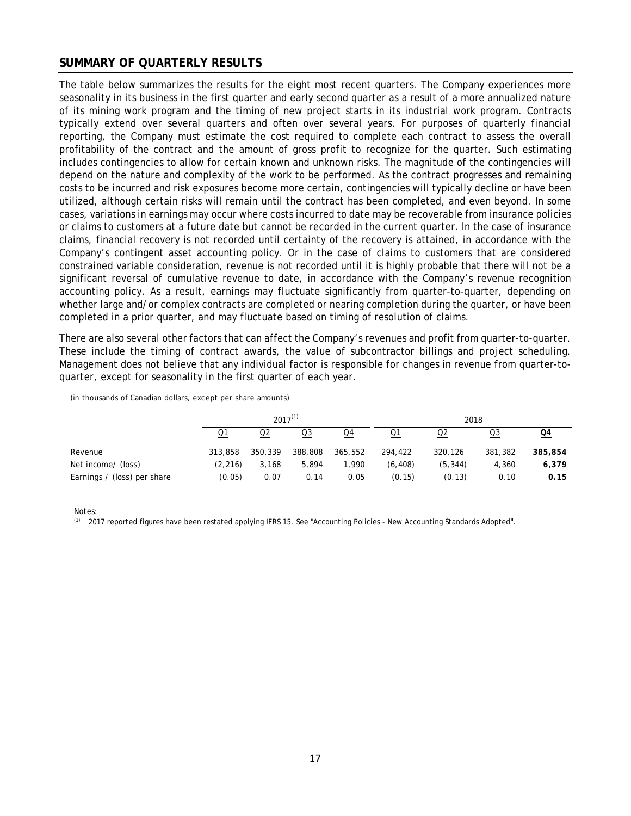# **SUMMARY OF QUARTERLY RESULTS**

The table below summarizes the results for the eight most recent quarters. The Company experiences more seasonality in its business in the first quarter and early second quarter as a result of a more annualized nature of its mining work program and the timing of new project starts in its industrial work program. Contracts typically extend over several quarters and often over several years. For purposes of quarterly financial reporting, the Company must estimate the cost required to complete each contract to assess the overall profitability of the contract and the amount of gross profit to recognize for the quarter. Such estimating includes contingencies to allow for certain known and unknown risks. The magnitude of the contingencies will depend on the nature and complexity of the work to be performed. As the contract progresses and remaining costs to be incurred and risk exposures become more certain, contingencies will typically decline or have been utilized, although certain risks will remain until the contract has been completed, and even beyond. In some cases, variations in earnings may occur where costs incurred to date may be recoverable from insurance policies or claims to customers at a future date but cannot be recorded in the current quarter. In the case of insurance claims, financial recovery is not recorded until certainty of the recovery is attained, in accordance with the Company's contingent asset accounting policy. Or in the case of claims to customers that are considered constrained variable consideration, revenue is not recorded until it is highly probable that there will not be a significant reversal of cumulative revenue to date, in accordance with the Company's revenue recognition accounting policy. As a result, earnings may fluctuate significantly from quarter-to-quarter, depending on whether large and/or complex contracts are completed or nearing completion during the quarter, or have been completed in a prior quarter, and may fluctuate based on timing of resolution of claims.

There are also several other factors that can affect the Company's revenues and profit from quarter-to-quarter. These include the timing of contract awards, the value of subcontractor billings and project scheduling. Management does not believe that any individual factor is responsible for changes in revenue from quarter-toquarter, except for seasonality in the first quarter of each year.

(in thousands of Canadian dollars, except per share amounts)

|                             | $2017^{(1)}$          |         |         |         | 2018     |          |                 |         |
|-----------------------------|-----------------------|---------|---------|---------|----------|----------|-----------------|---------|
|                             | $\overline{\Omega}$ 1 | Q2      | Q3      | Q4      | Q1       | Q2       | $\overline{03}$ | $Q_4$   |
| Revenue                     | 313,858               | 350,339 | 388,808 | 365,552 | 294,422  | 320,126  | 381,382         | 385,854 |
| Net income/ (loss)          | (2, 216)              | 3,168   | 5,894   | 1,990   | (6, 408) | (5, 344) | 4,360           | 6,379   |
| Earnings / (loss) per share | (0.05)                | 0.07    | 0.14    | 0.05    | (0.15)   | (0.13)   | 0.10            | 0.15    |

#### Notes:

(1) 2017 reported figures have been restated applying IFRS 15. See "Accounting Policies - New Accounting Standards Adopted".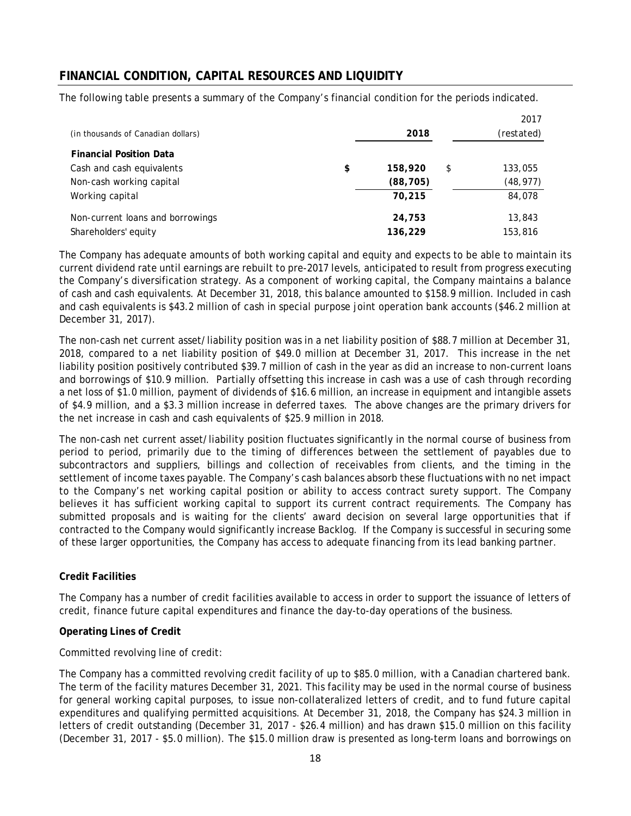# **FINANCIAL CONDITION, CAPITAL RESOURCES AND LIQUIDITY**

The following table presents a summary of the Company's financial condition for the periods indicated.

|                                    |               | 2017          |
|------------------------------------|---------------|---------------|
| (in thousands of Canadian dollars) | 2018          | (restated)    |
| <b>Financial Position Data</b>     |               |               |
| Cash and cash equivalents          | \$<br>158,920 | \$<br>133,055 |
| Non-cash working capital           | (88, 705)     | (48, 977)     |
| Working capital                    | 70.215        | 84,078        |
| Non-current loans and borrowings   | 24,753        | 13,843        |
| Shareholders' equity               | 136,229       | 153,816       |

The Company has adequate amounts of both working capital and equity and expects to be able to maintain its current dividend rate until earnings are rebuilt to pre-2017 levels, anticipated to result from progress executing the Company's diversification strategy. As a component of working capital, the Company maintains a balance of cash and cash equivalents. At December 31, 2018, this balance amounted to \$158.9 million. Included in cash and cash equivalents is \$43.2 million of cash in special purpose joint operation bank accounts (\$46.2 million at December 31, 2017).

The non-cash net current asset/liability position was in a net liability position of \$88.7 million at December 31, 2018, compared to a net liability position of \$49.0 million at December 31, 2017. This increase in the net liability position positively contributed \$39.7 million of cash in the year as did an increase to non-current loans and borrowings of \$10.9 million. Partially offsetting this increase in cash was a use of cash through recording a net loss of \$1.0 million, payment of dividends of \$16.6 million, an increase in equipment and intangible assets of \$4.9 million, and a \$3.3 million increase in deferred taxes. The above changes are the primary drivers for the net increase in cash and cash equivalents of \$25.9 million in 2018.

The non-cash net current asset/liability position fluctuates significantly in the normal course of business from period to period, primarily due to the timing of differences between the settlement of payables due to subcontractors and suppliers, billings and collection of receivables from clients, and the timing in the settlement of income taxes payable. The Company's cash balances absorb these fluctuations with no net impact to the Company's net working capital position or ability to access contract surety support. The Company believes it has sufficient working capital to support its current contract requirements. The Company has submitted proposals and is waiting for the clients' award decision on several large opportunities that if contracted to the Company would significantly increase Backlog. If the Company is successful in securing some of these larger opportunities, the Company has access to adequate financing from its lead banking partner.

# **Credit Facilities**

The Company has a number of credit facilities available to access in order to support the issuance of letters of credit, finance future capital expenditures and finance the day-to-day operations of the business.

#### **Operating Lines of Credit**

Committed revolving line of credit:

The Company has a committed revolving credit facility of up to \$85.0 million, with a Canadian chartered bank. The term of the facility matures December 31, 2021. This facility may be used in the normal course of business for general working capital purposes, to issue non-collateralized letters of credit, and to fund future capital expenditures and qualifying permitted acquisitions. At December 31, 2018, the Company has \$24.3 million in letters of credit outstanding (December 31, 2017 - \$26.4 million) and has drawn \$15.0 million on this facility (December 31, 2017 - \$5.0 million). The \$15.0 million draw is presented as long-term loans and borrowings on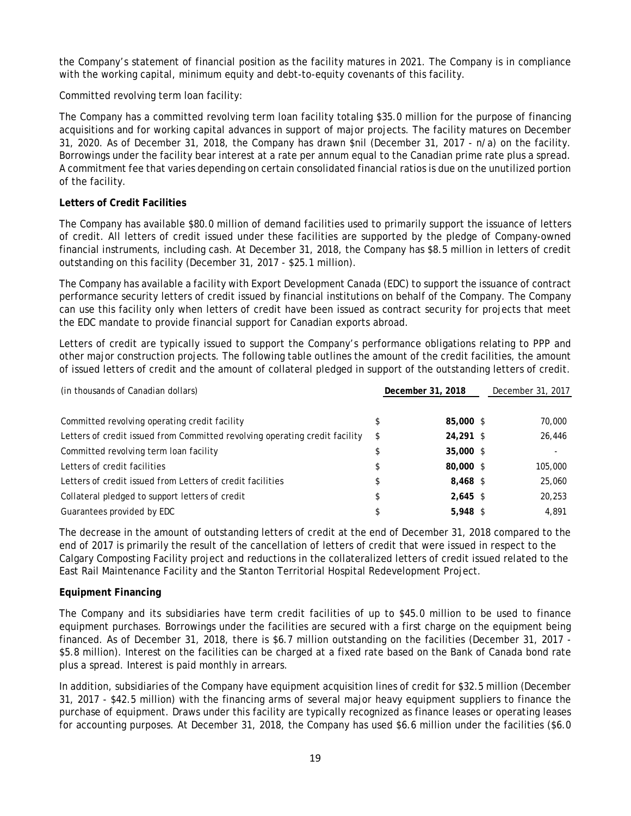the Company's statement of financial position as the facility matures in 2021. The Company is in compliance with the working capital, minimum equity and debt-to-equity covenants of this facility.

Committed revolving term loan facility:

The Company has a committed revolving term loan facility totaling \$35.0 million for the purpose of financing acquisitions and for working capital advances in support of major projects. The facility matures on December 31, 2020. As of December 31, 2018, the Company has drawn \$nil (December 31, 2017 - n/a) on the facility. Borrowings under the facility bear interest at a rate per annum equal to the Canadian prime rate plus a spread. A commitment fee that varies depending on certain consolidated financial ratios is due on the unutilized portion of the facility.

### **Letters of Credit Facilities**

The Company has available \$80.0 million of demand facilities used to primarily support the issuance of letters of credit. All letters of credit issued under these facilities are supported by the pledge of Company-owned financial instruments, including cash. At December 31, 2018, the Company has \$8.5 million in letters of credit outstanding on this facility (December 31, 2017 - \$25.1 million).

The Company has available a facility with Export Development Canada (EDC) to support the issuance of contract performance security letters of credit issued by financial institutions on behalf of the Company. The Company can use this facility only when letters of credit have been issued as contract security for projects that meet the EDC mandate to provide financial support for Canadian exports abroad.

Letters of credit are typically issued to support the Company's performance obligations relating to PPP and other major construction projects. The following table outlines the amount of the credit facilities, the amount of issued letters of credit and the amount of collateral pledged in support of the outstanding letters of credit.

| (in thousands of Canadian dollars)                                          | December 31, 2018 |             | December 31, 2017 |
|-----------------------------------------------------------------------------|-------------------|-------------|-------------------|
|                                                                             |                   |             |                   |
| Committed revolving operating credit facility                               | \$                | 85,000 \$   | 70,000            |
| Letters of credit issued from Committed revolving operating credit facility | S                 | $24,291$ \$ | 26,446            |
| Committed revolving term loan facility                                      | \$                | $35,000$ \$ | ۰                 |
| Letters of credit facilities                                                | \$                | 80,000 \$   | 105,000           |
| Letters of credit issued from Letters of credit facilities                  | \$                | $8.468$ \$  | 25,060            |
| Collateral pledged to support letters of credit                             | \$                | $2.645$ \$  | 20,253            |
| Guarantees provided by EDC                                                  | \$                | $5.948$ \$  | 4,891             |

The decrease in the amount of outstanding letters of credit at the end of December 31, 2018 compared to the end of 2017 is primarily the result of the cancellation of letters of credit that were issued in respect to the Calgary Composting Facility project and reductions in the collateralized letters of credit issued related to the East Rail Maintenance Facility and the Stanton Territorial Hospital Redevelopment Project.

# **Equipment Financing**

The Company and its subsidiaries have term credit facilities of up to \$45.0 million to be used to finance equipment purchases. Borrowings under the facilities are secured with a first charge on the equipment being financed. As of December 31, 2018, there is \$6.7 million outstanding on the facilities (December 31, 2017 - \$5.8 million). Interest on the facilities can be charged at a fixed rate based on the Bank of Canada bond rate plus a spread. Interest is paid monthly in arrears.

In addition, subsidiaries of the Company have equipment acquisition lines of credit for \$32.5 million (December 31, 2017 - \$42.5 million) with the financing arms of several major heavy equipment suppliers to finance the purchase of equipment. Draws under this facility are typically recognized as finance leases or operating leases for accounting purposes. At December 31, 2018, the Company has used \$6.6 million under the facilities (\$6.0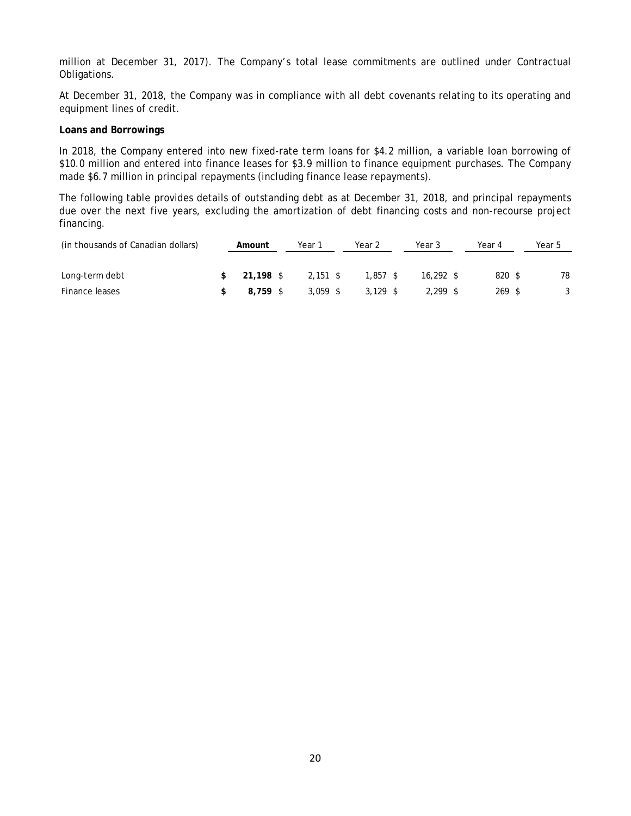million at December 31, 2017). The Company's total lease commitments are outlined under Contractual Obligations.

At December 31, 2018, the Company was in compliance with all debt covenants relating to its operating and equipment lines of credit.

#### **Loans and Borrowings**

In 2018, the Company entered into new fixed-rate term loans for \$4.2 million, a variable loan borrowing of \$10.0 million and entered into finance leases for \$3.9 million to finance equipment purchases. The Company made \$6.7 million in principal repayments (including finance lease repayments).

The following table provides details of outstanding debt as at December 31, 2018, and principal repayments due over the next five years, excluding the amortization of debt financing costs and non-recourse project financing.

| (in thousands of Canadian dollars) | Amount |             | Year 1     |  | Year 2     | Year 3      |  | Year 4 |  | Year 5 |  |
|------------------------------------|--------|-------------|------------|--|------------|-------------|--|--------|--|--------|--|
|                                    |        |             |            |  |            |             |  |        |  |        |  |
| Long-term debt                     |        | $21.198$ \$ | $2.151$ \$ |  | $1.857$ \$ | $16.292$ \$ |  | 820 \$ |  | 78     |  |
| Finance leases                     |        | $8.759$ \$  | $3.059$ \$ |  | $3.129$ \$ | $2.299$ \$  |  | 269S   |  |        |  |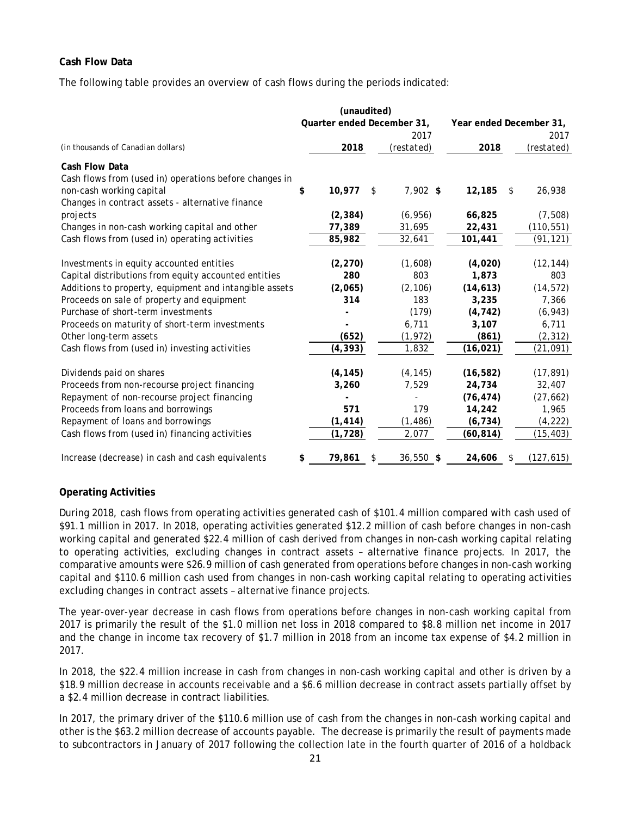# **Cash Flow Data**

The following table provides an overview of cash flows during the periods indicated:

|                                                        | (unaudited)                |    |            |                         |                  |
|--------------------------------------------------------|----------------------------|----|------------|-------------------------|------------------|
|                                                        | Quarter ended December 31, |    |            | Year ended December 31, |                  |
|                                                        |                            |    | 2017       |                         | 2017             |
| (in thousands of Canadian dollars)                     | 2018                       |    | (restated) | 2018                    | (restated)       |
| <b>Cash Flow Data</b>                                  |                            |    |            |                         |                  |
| Cash flows from (used in) operations before changes in |                            |    |            |                         |                  |
| non-cash working capital                               | \$<br>10,977               | \$ | 7,902 \$   | 12,185                  | \$<br>26,938     |
| Changes in contract assets - alternative finance       |                            |    |            |                         |                  |
| projects                                               | (2, 384)                   |    | (6,956)    | 66,825                  | (7, 508)         |
| Changes in non-cash working capital and other          | 77,389                     |    | 31,695     | 22,431                  | (110, 551)       |
| Cash flows from (used in) operating activities         | 85,982                     |    | 32,641     | 101,441                 | (91, 121)        |
|                                                        |                            |    | (1,608)    | (4,020)                 |                  |
| Investments in equity accounted entities               | (2, 270)<br>280            |    | 803        | 1,873                   | (12, 144)<br>803 |
| Capital distributions from equity accounted entities   |                            |    |            |                         |                  |
| Additions to property, equipment and intangible assets | (2,065)                    |    | (2, 106)   | (14, 613)               | (14, 572)        |
| Proceeds on sale of property and equipment             | 314                        |    | 183        | 3,235                   | 7,366            |
| Purchase of short-term investments                     |                            |    | (179)      | (4, 742)                | (6, 943)         |
| Proceeds on maturity of short-term investments         |                            |    | 6,711      | 3,107                   | 6,711            |
| Other long-term assets                                 | (652)                      |    | (1, 972)   | (861)                   | (2, 312)         |
| Cash flows from (used in) investing activities         | (4, 393)                   |    | 1,832      | (16, 021)               | (21, 091)        |
| Dividends paid on shares                               | (4, 145)                   |    | (4, 145)   | (16, 582)               | (17, 891)        |
| Proceeds from non-recourse project financing           | 3,260                      |    | 7,529      | 24,734                  | 32,407           |
| Repayment of non-recourse project financing            |                            |    |            | (76, 474)               | (27, 662)        |
| Proceeds from loans and borrowings                     | 571                        |    | 179        | 14,242                  | 1,965            |
| Repayment of loans and borrowings                      | (1, 414)                   |    | (1, 486)   | (6, 734)                | (4, 222)         |
| Cash flows from (used in) financing activities         | (1, 728)                   |    | 2,077      | (60,814)                | (15, 403)        |
| Increase (decrease) in cash and cash equivalents       | \$<br>79,861               | S  | 36,550 \$  | 24,606                  | \$<br>(127, 615) |

# **Operating Activities**

During 2018, cash flows from operating activities generated cash of \$101.4 million compared with cash used of \$91.1 million in 2017. In 2018, operating activities generated \$12.2 million of cash before changes in non-cash working capital and generated \$22.4 million of cash derived from changes in non-cash working capital relating to operating activities, excluding changes in contract assets – alternative finance projects. In 2017, the comparative amounts were \$26.9 million of cash generated from operations before changes in non-cash working capital and \$110.6 million cash used from changes in non-cash working capital relating to operating activities excluding changes in contract assets – alternative finance projects.

The year-over-year decrease in cash flows from operations before changes in non-cash working capital from 2017 is primarily the result of the \$1.0 million net loss in 2018 compared to \$8.8 million net income in 2017 and the change in income tax recovery of \$1.7 million in 2018 from an income tax expense of \$4.2 million in 2017.

In 2018, the \$22.4 million increase in cash from changes in non-cash working capital and other is driven by a \$18.9 million decrease in accounts receivable and a \$6.6 million decrease in contract assets partially offset by a \$2.4 million decrease in contract liabilities.

In 2017, the primary driver of the \$110.6 million use of cash from the changes in non-cash working capital and other is the \$63.2 million decrease of accounts payable. The decrease is primarily the result of payments made to subcontractors in January of 2017 following the collection late in the fourth quarter of 2016 of a holdback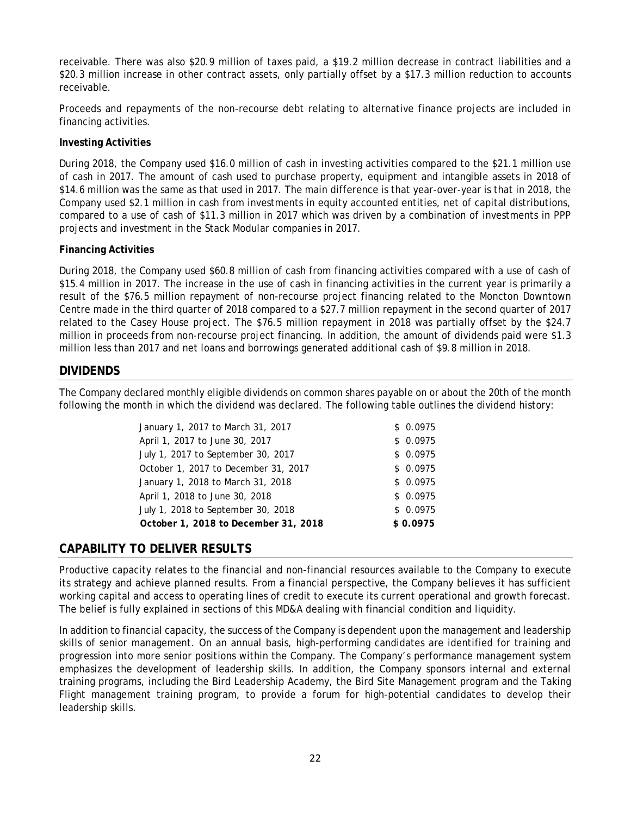receivable. There was also \$20.9 million of taxes paid, a \$19.2 million decrease in contract liabilities and a \$20.3 million increase in other contract assets, only partially offset by a \$17.3 million reduction to accounts receivable.

Proceeds and repayments of the non-recourse debt relating to alternative finance projects are included in financing activities.

# **Investing Activities**

During 2018, the Company used \$16.0 million of cash in investing activities compared to the \$21.1 million use of cash in 2017. The amount of cash used to purchase property, equipment and intangible assets in 2018 of \$14.6 million was the same as that used in 2017. The main difference is that year-over-year is that in 2018, the Company used \$2.1 million in cash from investments in equity accounted entities, net of capital distributions, compared to a use of cash of \$11.3 million in 2017 which was driven by a combination of investments in PPP projects and investment in the Stack Modular companies in 2017.

# **Financing Activities**

During 2018, the Company used \$60.8 million of cash from financing activities compared with a use of cash of \$15.4 million in 2017. The increase in the use of cash in financing activities in the current year is primarily a result of the \$76.5 million repayment of non-recourse project financing related to the Moncton Downtown Centre made in the third quarter of 2018 compared to a \$27.7 million repayment in the second quarter of 2017 related to the Casey House project. The \$76.5 million repayment in 2018 was partially offset by the \$24.7 million in proceeds from non-recourse project financing. In addition, the amount of dividends paid were \$1.3 million less than 2017 and net loans and borrowings generated additional cash of \$9.8 million in 2018.

# **DIVIDENDS**

The Company declared monthly eligible dividends on common shares payable on or about the 20th of the month following the month in which the dividend was declared. The following table outlines the dividend history:

| January 1, 2017 to March 31, 2017    | \$0.0975 |
|--------------------------------------|----------|
| April 1, 2017 to June 30, 2017       | \$0.0975 |
| July 1, 2017 to September 30, 2017   | \$0.0975 |
| October 1, 2017 to December 31, 2017 | \$0.0975 |
| January 1, 2018 to March 31, 2018    | \$0.0975 |
| April 1, 2018 to June 30, 2018       | \$0.0975 |
| July 1, 2018 to September 30, 2018   | \$0.0975 |
| October 1, 2018 to December 31, 2018 | \$0.0975 |

# **CAPABILITY TO DELIVER RESULTS**

Productive capacity relates to the financial and non-financial resources available to the Company to execute its strategy and achieve planned results. From a financial perspective, the Company believes it has sufficient working capital and access to operating lines of credit to execute its current operational and growth forecast. The belief is fully explained in sections of this MD&A dealing with financial condition and liquidity.

In addition to financial capacity, the success of the Company is dependent upon the management and leadership skills of senior management. On an annual basis, high-performing candidates are identified for training and progression into more senior positions within the Company. The Company's performance management system emphasizes the development of leadership skills. In addition, the Company sponsors internal and external training programs, including the Bird Leadership Academy, the Bird Site Management program and the Taking Flight management training program, to provide a forum for high-potential candidates to develop their leadership skills.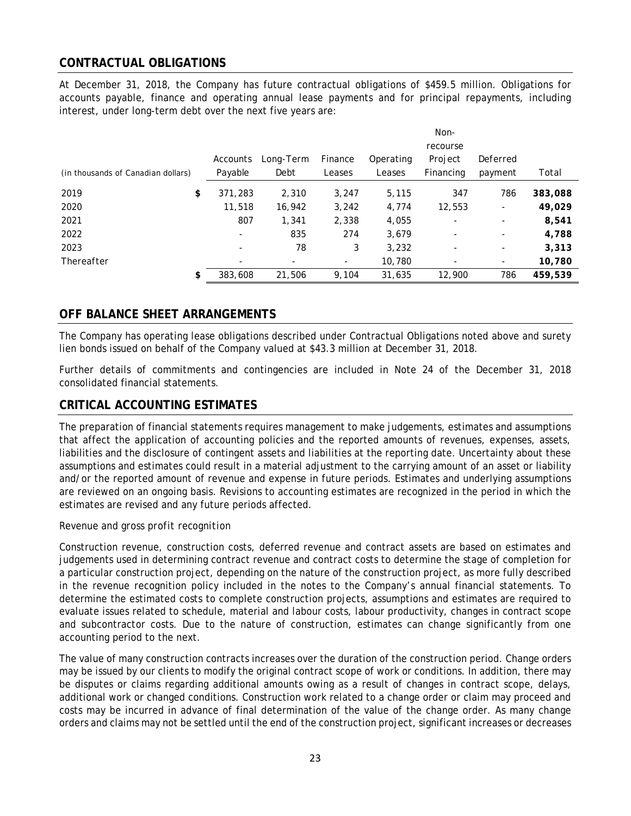# **CONTRACTUAL OBLIGATIONS**

At December 31, 2018, the Company has future contractual obligations of \$459.5 million. Obligations for accounts payable, finance and operating annual lease payments and for principal repayments, including interest, under long-term debt over the next five years are:

|                                    |                          |           |                          |           | Non-                     |          |         |
|------------------------------------|--------------------------|-----------|--------------------------|-----------|--------------------------|----------|---------|
|                                    |                          |           |                          |           | recourse                 |          |         |
|                                    | Accounts                 | Long-Term | Finance                  | Operating | Project                  | Deferred |         |
| (in thousands of Canadian dollars) | Payable                  | Debt      | Leases                   | Leases    | Financing                | payment  | Total   |
| 2019                               | \$<br>371,283            | 2,310     | 3,247                    | 5,115     | 347                      | 786      | 383,088 |
| 2020                               | 11,518                   | 16,942    | 3,242                    | 4,774     | 12,553                   |          | 49,029  |
| 2021                               | 807                      | 1,341     | 2,338                    | 4,055     |                          |          | 8,541   |
| 2022                               | ۰.                       | 835       | 274                      | 3,679     | $\overline{\phantom{a}}$ |          | 4,788   |
| 2023                               | $\overline{\phantom{0}}$ | 78        | 3                        | 3,232     |                          |          | 3,313   |
| Thereafter                         |                          |           | $\overline{\phantom{0}}$ | 10,780    | $\overline{\phantom{a}}$ |          | 10,780  |
|                                    | \$<br>383,608            | 21,506    | 9.104                    | 31,635    | 12,900                   | 786      | 459,539 |

# **OFF BALANCE SHEET ARRANGEMENTS**

The Company has operating lease obligations described under Contractual Obligations noted above and surety lien bonds issued on behalf of the Company valued at \$43.3 million at December 31, 2018.

Further details of commitments and contingencies are included in Note 24 of the December 31, 2018 consolidated financial statements.

# **CRITICAL ACCOUNTING ESTIMATES**

The preparation of financial statements requires management to make judgements, estimates and assumptions that affect the application of accounting policies and the reported amounts of revenues, expenses, assets, liabilities and the disclosure of contingent assets and liabilities at the reporting date. Uncertainty about these assumptions and estimates could result in a material adjustment to the carrying amount of an asset or liability and/or the reported amount of revenue and expense in future periods. Estimates and underlying assumptions are reviewed on an ongoing basis. Revisions to accounting estimates are recognized in the period in which the estimates are revised and any future periods affected.

# *Revenue and gross profit recognition*

Construction revenue, construction costs, deferred revenue and contract assets are based on estimates and judgements used in determining contract revenue and contract costs to determine the stage of completion for a particular construction project, depending on the nature of the construction project, as more fully described in the revenue recognition policy included in the notes to the Company's annual financial statements. To determine the estimated costs to complete construction projects, assumptions and estimates are required to evaluate issues related to schedule, material and labour costs, labour productivity, changes in contract scope and subcontractor costs. Due to the nature of construction, estimates can change significantly from one accounting period to the next.

The value of many construction contracts increases over the duration of the construction period. Change orders may be issued by our clients to modify the original contract scope of work or conditions. In addition, there may be disputes or claims regarding additional amounts owing as a result of changes in contract scope, delays, additional work or changed conditions. Construction work related to a change order or claim may proceed and costs may be incurred in advance of final determination of the value of the change order. As many change orders and claims may not be settled until the end of the construction project, significant increases or decreases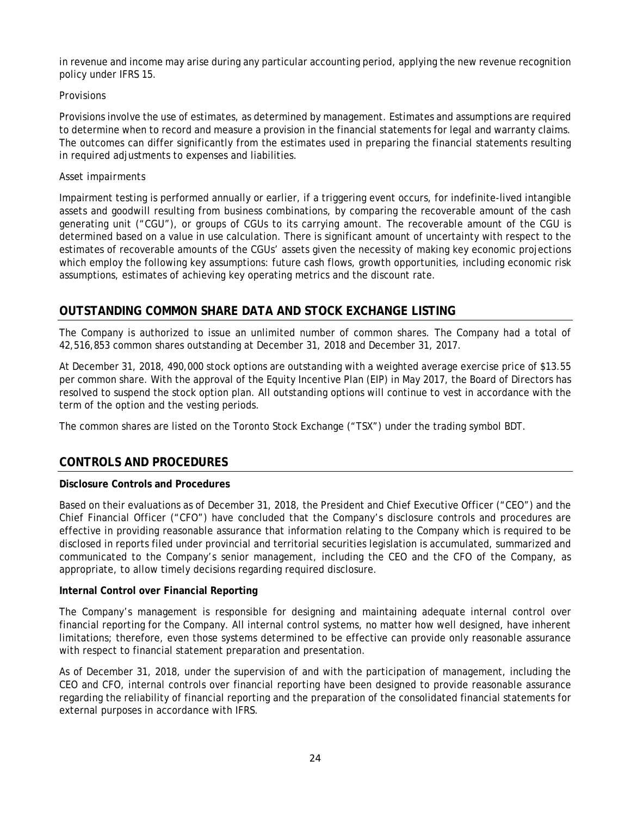in revenue and income may arise during any particular accounting period, applying the new revenue recognition policy under IFRS 15.

# *Provisions*

Provisions involve the use of estimates, as determined by management. Estimates and assumptions are required to determine when to record and measure a provision in the financial statements for legal and warranty claims. The outcomes can differ significantly from the estimates used in preparing the financial statements resulting in required adjustments to expenses and liabilities.

# *Asset impairments*

Impairment testing is performed annually or earlier, if a triggering event occurs, for indefinite-lived intangible assets and goodwill resulting from business combinations, by comparing the recoverable amount of the cash generating unit ("CGU"), or groups of CGUs to its carrying amount. The recoverable amount of the CGU is determined based on a value in use calculation. There is significant amount of uncertainty with respect to the estimates of recoverable amounts of the CGUs' assets given the necessity of making key economic projections which employ the following key assumptions: future cash flows, growth opportunities, including economic risk assumptions, estimates of achieving key operating metrics and the discount rate.

# **OUTSTANDING COMMON SHARE DATA AND STOCK EXCHANGE LISTING**

The Company is authorized to issue an unlimited number of common shares. The Company had a total of 42,516,853 common shares outstanding at December 31, 2018 and December 31, 2017.

At December 31, 2018, 490,000 stock options are outstanding with a weighted average exercise price of \$13.55 per common share. With the approval of the Equity Incentive Plan (EIP) in May 2017, the Board of Directors has resolved to suspend the stock option plan. All outstanding options will continue to vest in accordance with the term of the option and the vesting periods.

The common shares are listed on the Toronto Stock Exchange ("TSX") under the trading symbol BDT.

# **CONTROLS AND PROCEDURES**

# **Disclosure Controls and Procedures**

Based on their evaluations as of December 31, 2018, the President and Chief Executive Officer ("CEO") and the Chief Financial Officer ("CFO") have concluded that the Company's disclosure controls and procedures are effective in providing reasonable assurance that information relating to the Company which is required to be disclosed in reports filed under provincial and territorial securities legislation is accumulated, summarized and communicated to the Company's senior management, including the CEO and the CFO of the Company, as appropriate, to allow timely decisions regarding required disclosure.

# **Internal Control over Financial Reporting**

The Company's management is responsible for designing and maintaining adequate internal control over financial reporting for the Company. All internal control systems, no matter how well designed, have inherent limitations; therefore, even those systems determined to be effective can provide only reasonable assurance with respect to financial statement preparation and presentation.

As of December 31, 2018, under the supervision of and with the participation of management, including the CEO and CFO, internal controls over financial reporting have been designed to provide reasonable assurance regarding the reliability of financial reporting and the preparation of the consolidated financial statements for external purposes in accordance with IFRS.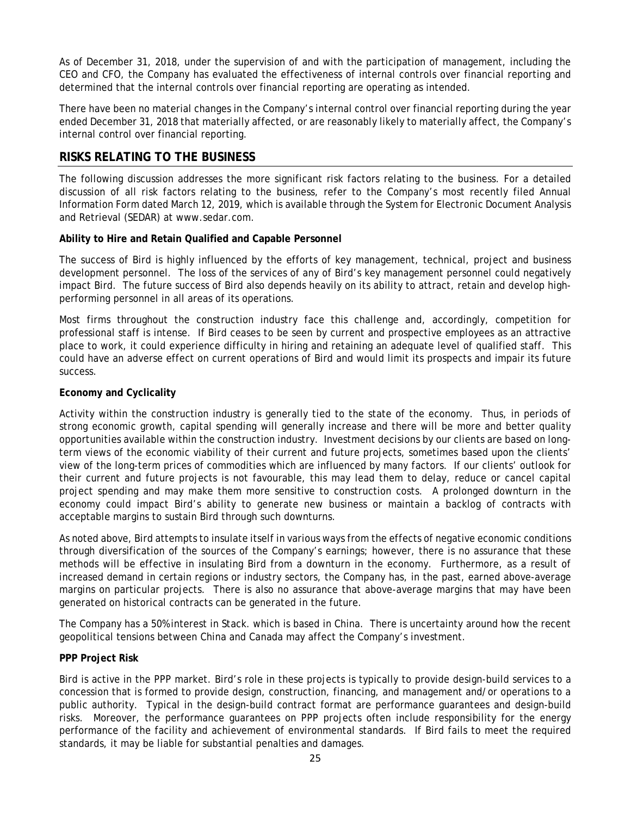As of December 31, 2018, under the supervision of and with the participation of management, including the CEO and CFO, the Company has evaluated the effectiveness of internal controls over financial reporting and determined that the internal controls over financial reporting are operating as intended.

There have been no material changes in the Company's internal control over financial reporting during the year ended December 31, 2018 that materially affected, or are reasonably likely to materially affect, the Company's internal control over financial reporting.

# **RISKS RELATING TO THE BUSINESS**

The following discussion addresses the more significant risk factors relating to the business. For a detailed discussion of all risk factors relating to the business, refer to the Company's most recently filed Annual Information Form dated March 12, 2019, which is available through the System for Electronic Document Analysis and Retrieval (SEDAR) at www.sedar.com.

# **Ability to Hire and Retain Qualified and Capable Personnel**

The success of Bird is highly influenced by the efforts of key management, technical, project and business development personnel. The loss of the services of any of Bird's key management personnel could negatively impact Bird. The future success of Bird also depends heavily on its ability to attract, retain and develop highperforming personnel in all areas of its operations.

Most firms throughout the construction industry face this challenge and, accordingly, competition for professional staff is intense. If Bird ceases to be seen by current and prospective employees as an attractive place to work, it could experience difficulty in hiring and retaining an adequate level of qualified staff. This could have an adverse effect on current operations of Bird and would limit its prospects and impair its future success.

# **Economy and Cyclicality**

Activity within the construction industry is generally tied to the state of the economy. Thus, in periods of strong economic growth, capital spending will generally increase and there will be more and better quality opportunities available within the construction industry. Investment decisions by our clients are based on longterm views of the economic viability of their current and future projects, sometimes based upon the clients' view of the long-term prices of commodities which are influenced by many factors. If our clients' outlook for their current and future projects is not favourable, this may lead them to delay, reduce or cancel capital project spending and may make them more sensitive to construction costs. A prolonged downturn in the economy could impact Bird's ability to generate new business or maintain a backlog of contracts with acceptable margins to sustain Bird through such downturns.

As noted above, Bird attempts to insulate itself in various ways from the effects of negative economic conditions through diversification of the sources of the Company's earnings; however, there is no assurance that these methods will be effective in insulating Bird from a downturn in the economy. Furthermore, as a result of increased demand in certain regions or industry sectors, the Company has, in the past, earned above-average margins on particular projects. There is also no assurance that above-average margins that may have been generated on historical contracts can be generated in the future.

The Company has a 50% interest in Stack. which is based in China. There is uncertainty around how the recent geopolitical tensions between China and Canada may affect the Company's investment.

# **PPP Project Risk**

Bird is active in the PPP market. Bird's role in these projects is typically to provide design-build services to a concession that is formed to provide design, construction, financing, and management and/or operations to a public authority. Typical in the design-build contract format are performance guarantees and design-build risks. Moreover, the performance guarantees on PPP projects often include responsibility for the energy performance of the facility and achievement of environmental standards. If Bird fails to meet the required standards, it may be liable for substantial penalties and damages.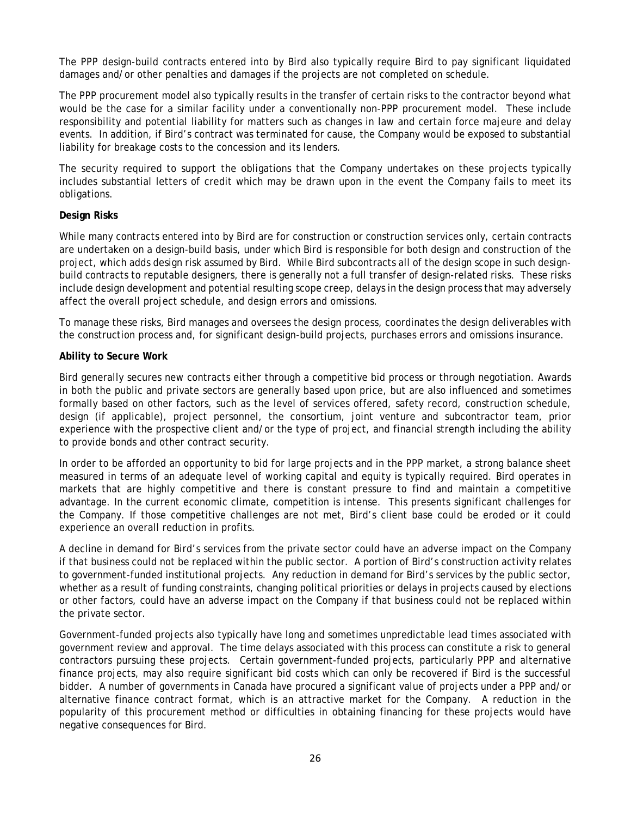The PPP design-build contracts entered into by Bird also typically require Bird to pay significant liquidated damages and/or other penalties and damages if the projects are not completed on schedule.

The PPP procurement model also typically results in the transfer of certain risks to the contractor beyond what would be the case for a similar facility under a conventionally non-PPP procurement model. These include responsibility and potential liability for matters such as changes in law and certain force majeure and delay events. In addition, if Bird's contract was terminated for cause, the Company would be exposed to substantial liability for breakage costs to the concession and its lenders.

The security required to support the obligations that the Company undertakes on these projects typically includes substantial letters of credit which may be drawn upon in the event the Company fails to meet its obligations.

# **Design Risks**

While many contracts entered into by Bird are for construction or construction services only, certain contracts are undertaken on a design-build basis, under which Bird is responsible for both design and construction of the project, which adds design risk assumed by Bird. While Bird subcontracts all of the design scope in such designbuild contracts to reputable designers, there is generally not a full transfer of design-related risks. These risks include design development and potential resulting scope creep, delays in the design process that may adversely affect the overall project schedule, and design errors and omissions.

To manage these risks, Bird manages and oversees the design process, coordinates the design deliverables with the construction process and, for significant design-build projects, purchases errors and omissions insurance.

### **Ability to Secure Work**

Bird generally secures new contracts either through a competitive bid process or through negotiation. Awards in both the public and private sectors are generally based upon price, but are also influenced and sometimes formally based on other factors, such as the level of services offered, safety record, construction schedule, design (if applicable), project personnel, the consortium, joint venture and subcontractor team, prior experience with the prospective client and/or the type of project, and financial strength including the ability to provide bonds and other contract security.

In order to be afforded an opportunity to bid for large projects and in the PPP market, a strong balance sheet measured in terms of an adequate level of working capital and equity is typically required. Bird operates in markets that are highly competitive and there is constant pressure to find and maintain a competitive advantage. In the current economic climate, competition is intense. This presents significant challenges for the Company. If those competitive challenges are not met, Bird's client base could be eroded or it could experience an overall reduction in profits.

A decline in demand for Bird's services from the private sector could have an adverse impact on the Company if that business could not be replaced within the public sector. A portion of Bird's construction activity relates to government-funded institutional projects. Any reduction in demand for Bird's services by the public sector, whether as a result of funding constraints, changing political priorities or delays in projects caused by elections or other factors, could have an adverse impact on the Company if that business could not be replaced within the private sector.

Government-funded projects also typically have long and sometimes unpredictable lead times associated with government review and approval. The time delays associated with this process can constitute a risk to general contractors pursuing these projects. Certain government-funded projects, particularly PPP and alternative finance projects, may also require significant bid costs which can only be recovered if Bird is the successful bidder. A number of governments in Canada have procured a significant value of projects under a PPP and/or alternative finance contract format, which is an attractive market for the Company. A reduction in the popularity of this procurement method or difficulties in obtaining financing for these projects would have negative consequences for Bird.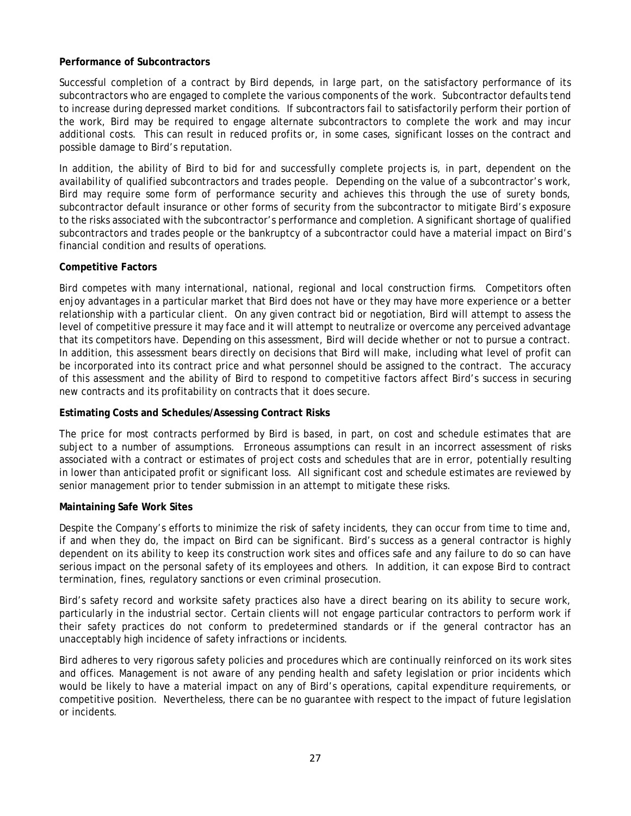### **Performance of Subcontractors**

Successful completion of a contract by Bird depends, in large part, on the satisfactory performance of its subcontractors who are engaged to complete the various components of the work. Subcontractor defaults tend to increase during depressed market conditions. If subcontractors fail to satisfactorily perform their portion of the work, Bird may be required to engage alternate subcontractors to complete the work and may incur additional costs. This can result in reduced profits or, in some cases, significant losses on the contract and possible damage to Bird's reputation.

In addition, the ability of Bird to bid for and successfully complete projects is, in part, dependent on the availability of qualified subcontractors and trades people. Depending on the value of a subcontractor's work, Bird may require some form of performance security and achieves this through the use of surety bonds, subcontractor default insurance or other forms of security from the subcontractor to mitigate Bird's exposure to the risks associated with the subcontractor's performance and completion. A significant shortage of qualified subcontractors and trades people or the bankruptcy of a subcontractor could have a material impact on Bird's financial condition and results of operations.

# **Competitive Factors**

Bird competes with many international, national, regional and local construction firms. Competitors often enjoy advantages in a particular market that Bird does not have or they may have more experience or a better relationship with a particular client. On any given contract bid or negotiation, Bird will attempt to assess the level of competitive pressure it may face and it will attempt to neutralize or overcome any perceived advantage that its competitors have. Depending on this assessment, Bird will decide whether or not to pursue a contract. In addition, this assessment bears directly on decisions that Bird will make, including what level of profit can be incorporated into its contract price and what personnel should be assigned to the contract. The accuracy of this assessment and the ability of Bird to respond to competitive factors affect Bird's success in securing new contracts and its profitability on contracts that it does secure.

#### **Estimating Costs and Schedules/Assessing Contract Risks**

The price for most contracts performed by Bird is based, in part, on cost and schedule estimates that are subject to a number of assumptions. Erroneous assumptions can result in an incorrect assessment of risks associated with a contract or estimates of project costs and schedules that are in error, potentially resulting in lower than anticipated profit or significant loss. All significant cost and schedule estimates are reviewed by senior management prior to tender submission in an attempt to mitigate these risks.

#### **Maintaining Safe Work Sites**

Despite the Company's efforts to minimize the risk of safety incidents, they can occur from time to time and, if and when they do, the impact on Bird can be significant. Bird's success as a general contractor is highly dependent on its ability to keep its construction work sites and offices safe and any failure to do so can have serious impact on the personal safety of its employees and others. In addition, it can expose Bird to contract termination, fines, regulatory sanctions or even criminal prosecution.

Bird's safety record and worksite safety practices also have a direct bearing on its ability to secure work, particularly in the industrial sector. Certain clients will not engage particular contractors to perform work if their safety practices do not conform to predetermined standards or if the general contractor has an unacceptably high incidence of safety infractions or incidents.

Bird adheres to very rigorous safety policies and procedures which are continually reinforced on its work sites and offices. Management is not aware of any pending health and safety legislation or prior incidents which would be likely to have a material impact on any of Bird's operations, capital expenditure requirements, or competitive position. Nevertheless, there can be no guarantee with respect to the impact of future legislation or incidents.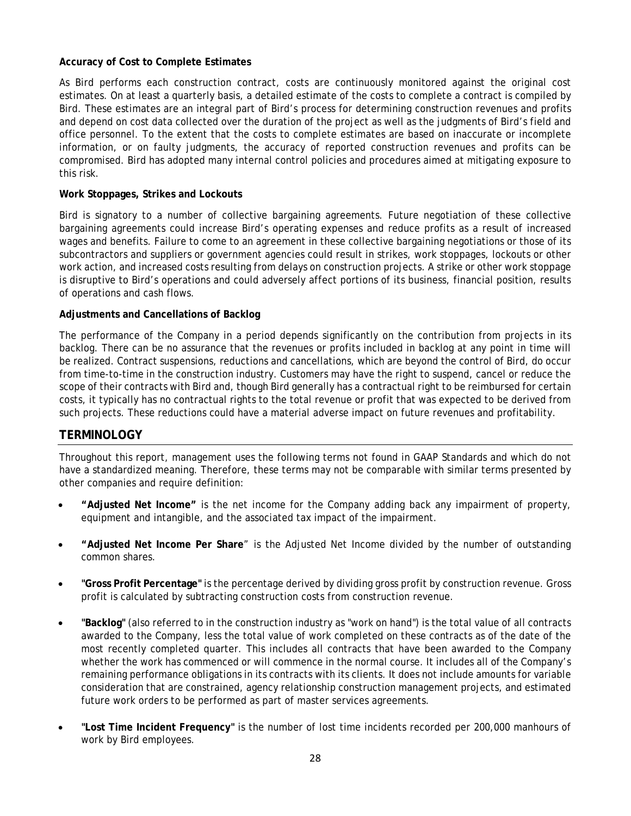### **Accuracy of Cost to Complete Estimates**

As Bird performs each construction contract, costs are continuously monitored against the original cost estimates. On at least a quarterly basis, a detailed estimate of the costs to complete a contract is compiled by Bird. These estimates are an integral part of Bird's process for determining construction revenues and profits and depend on cost data collected over the duration of the project as well as the judgments of Bird's field and office personnel. To the extent that the costs to complete estimates are based on inaccurate or incomplete information, or on faulty judgments, the accuracy of reported construction revenues and profits can be compromised. Bird has adopted many internal control policies and procedures aimed at mitigating exposure to this risk.

# **Work Stoppages, Strikes and Lockouts**

Bird is signatory to a number of collective bargaining agreements. Future negotiation of these collective bargaining agreements could increase Bird's operating expenses and reduce profits as a result of increased wages and benefits. Failure to come to an agreement in these collective bargaining negotiations or those of its subcontractors and suppliers or government agencies could result in strikes, work stoppages, lockouts or other work action, and increased costs resulting from delays on construction projects. A strike or other work stoppage is disruptive to Bird's operations and could adversely affect portions of its business, financial position, results of operations and cash flows.

# **Adjustments and Cancellations of Backlog**

The performance of the Company in a period depends significantly on the contribution from projects in its backlog. There can be no assurance that the revenues or profits included in backlog at any point in time will be realized. Contract suspensions, reductions and cancellations, which are beyond the control of Bird, do occur from time-to-time in the construction industry. Customers may have the right to suspend, cancel or reduce the scope of their contracts with Bird and, though Bird generally has a contractual right to be reimbursed for certain costs, it typically has no contractual rights to the total revenue or profit that was expected to be derived from such projects. These reductions could have a material adverse impact on future revenues and profitability.

# **TERMINOLOGY**

Throughout this report, management uses the following terms not found in GAAP Standards and which do not have a standardized meaning. Therefore, these terms may not be comparable with similar terms presented by other companies and require definition:

- **"Adjusted Net Income"** is the net income for the Company adding back any impairment of property, equipment and intangible, and the associated tax impact of the impairment.
- **"Adjusted Net Income Per Share**" is the Adjusted Net Income divided by the number of outstanding common shares.
- **"Gross Profit Percentage"** is the percentage derived by dividing gross profit by construction revenue. Gross profit is calculated by subtracting construction costs from construction revenue.
- **"Backlog"** (also referred to in the construction industry as "work on hand") is the total value of all contracts awarded to the Company, less the total value of work completed on these contracts as of the date of the most recently completed quarter. This includes all contracts that have been awarded to the Company whether the work has commenced or will commence in the normal course. It includes all of the Company's remaining performance obligations in its contracts with its clients. It does not include amounts for variable consideration that are constrained, agency relationship construction management projects, and estimated future work orders to be performed as part of master services agreements.
- **"Lost Time Incident Frequency"** is the number of lost time incidents recorded per 200,000 manhours of work by Bird employees.